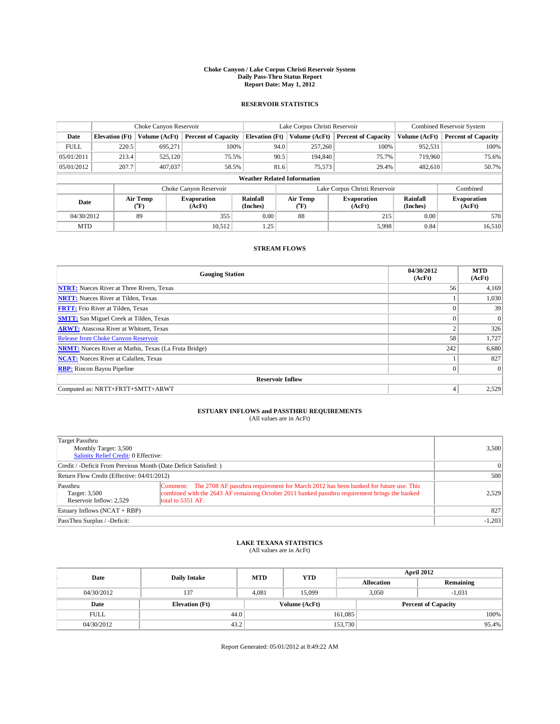#### **Choke Canyon / Lake Corpus Christi Reservoir System Daily Pass-Thru Status Report Report Date: May 1, 2012**

### **RESERVOIR STATISTICS**

|             | Choke Canyon Reservoir                                                                                  |               |                            |                                    | Lake Corpus Christi Reservoir | <b>Combined Reservoir System</b> |               |                     |
|-------------|---------------------------------------------------------------------------------------------------------|---------------|----------------------------|------------------------------------|-------------------------------|----------------------------------|---------------|---------------------|
| Date        | <b>Elevation</b> (Ft)                                                                                   | Volume (AcFt) | <b>Percent of Capacity</b> | <b>Elevation (Ft)</b>              | Volume (AcFt)                 | <b>Percent of Capacity</b>       | Volume (AcFt) | Percent of Capacity |
| <b>FULL</b> | 220.5                                                                                                   | 695,271       | 100%                       | 94.0                               | 257,260                       | 100%                             | 952,531       | 100%                |
| 05/01/2011  | 213.4                                                                                                   | 525,120       | 75.5%                      |                                    | 90.5<br>194,840               | 75.7%                            | 719,960       | 75.6%               |
| 05/01/2012  | 207.7                                                                                                   | 407,037       | 58.5%                      |                                    | 81.6<br>75,573                | 29.4%                            | 482.610       | 50.7%               |
|             |                                                                                                         |               |                            | <b>Weather Related Information</b> |                               |                                  |               |                     |
|             |                                                                                                         |               | Choke Canyon Reservoir     |                                    |                               | Lake Corpus Christi Reservoir    |               | Combined            |
|             | Air Temp<br>Air Temp<br>Rainfall<br>Evaporation<br>Date<br>(Inches)<br>(AcFt)<br>(AcFt)<br>(°F)<br>("F) |               | <b>Evaporation</b>         | Rainfall<br>(Inches)               | <b>Evaporation</b><br>(AcFt)  |                                  |               |                     |
| 04/30/2012  |                                                                                                         | 89            | 355                        | 0.00                               | 88                            | 215                              | 0.00          | 570                 |
| <b>MTD</b>  |                                                                                                         |               | 10.512                     | 1.25                               |                               | 5,998                            | 0.84          | 16,510              |

### **STREAM FLOWS**

| <b>Gauging Station</b>                                       | 04/30/2012<br>(AcFt) | <b>MTD</b><br>(AcFt) |  |  |  |  |  |
|--------------------------------------------------------------|----------------------|----------------------|--|--|--|--|--|
| <b>NTRT:</b> Nueces River at Three Rivers, Texas             | 56                   | 4,169                |  |  |  |  |  |
| <b>NRTT:</b> Nueces River at Tilden, Texas                   |                      | 1,030                |  |  |  |  |  |
| <b>FRTT:</b> Frio River at Tilden, Texas                     |                      | 39                   |  |  |  |  |  |
| <b>SMTT:</b> San Miguel Creek at Tilden, Texas               |                      | $\Omega$             |  |  |  |  |  |
| <b>ARWT:</b> Atascosa River at Whitsett, Texas               | $\overline{2}$       | 326                  |  |  |  |  |  |
| Release from Choke Canyon Reservoir                          | 58                   | 1,727                |  |  |  |  |  |
| <b>NRMT:</b> Nueces River at Mathis, Texas (La Fruta Bridge) | 242                  | 6,680                |  |  |  |  |  |
| <b>NCAT:</b> Nueces River at Calallen, Texas                 |                      | 827                  |  |  |  |  |  |
| <b>RBP:</b> Rincon Bayou Pipeline                            | $\theta$             | $\Omega$             |  |  |  |  |  |
| <b>Reservoir Inflow</b>                                      |                      |                      |  |  |  |  |  |
| Computed as: NRTT+FRTT+SMTT+ARWT                             | 4                    | 2,529                |  |  |  |  |  |

# **ESTUARY INFLOWS and PASSTHRU REQUIREMENTS**<br>(All values are in AcFt)

| Target Passthru<br>Monthly Target: 3,500<br>Salinity Relief Credit: 0 Effective: | 3,500                                                                                                                                                                                                                |          |
|----------------------------------------------------------------------------------|----------------------------------------------------------------------------------------------------------------------------------------------------------------------------------------------------------------------|----------|
| Credit / -Deficit From Previous Month (Date Deficit Satisfied: )                 | $\Omega$                                                                                                                                                                                                             |          |
| Return Flow Credit (Effective: 04/01/2012)                                       | 500                                                                                                                                                                                                                  |          |
| Passthru<br>Target: 3,500<br>Reservoir Inflow: 2.529                             | Comment: The 2708 AF passthru requirement for March 2012 has been banked for future use. This<br>combined with the 2643 AF remaining October 2011 banked passthru requirement brings the banked<br>total to 5351 AF. | 2,529    |
| Estuary Inflows (NCAT + RBP)                                                     | 827                                                                                                                                                                                                                  |          |
| PassThru Surplus / -Deficit:                                                     |                                                                                                                                                                                                                      | $-1,203$ |

## **LAKE TEXANA STATISTICS** (All values are in AcFt)

| Date        | <b>Daily Intake</b>   | <b>MTD</b> | <b>YTD</b>    | <b>April 2012</b> |                            |           |  |
|-------------|-----------------------|------------|---------------|-------------------|----------------------------|-----------|--|
|             |                       |            |               | <b>Allocation</b> |                            | Remaining |  |
| 04/30/2012  | 137                   | 4.081      | 15,099        | 3.050             |                            | $-1.031$  |  |
| Date        | <b>Elevation</b> (Ft) |            | Volume (AcFt) |                   | <b>Percent of Capacity</b> |           |  |
| <b>FULL</b> | 44.0                  |            |               | 161,085           |                            | 100%      |  |
| 04/30/2012  | 43.2                  |            |               | 153,730           |                            | 95.4%     |  |

Report Generated: 05/01/2012 at 8:49:22 AM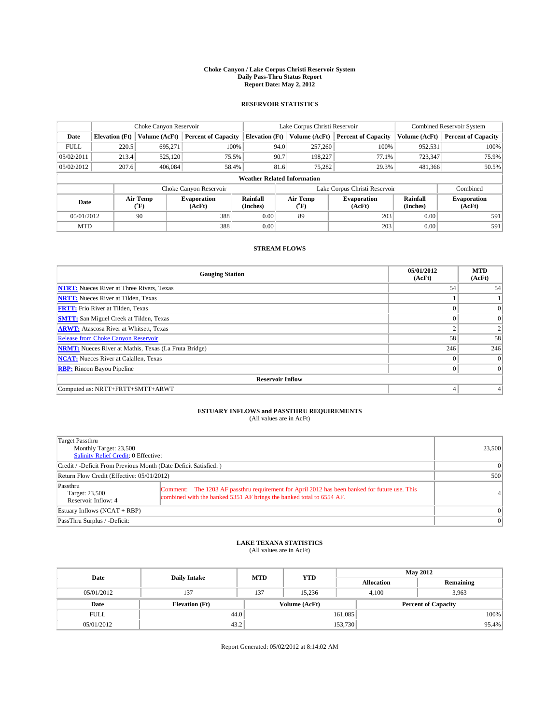#### **Choke Canyon / Lake Corpus Christi Reservoir System Daily Pass-Thru Status Report Report Date: May 2, 2012**

### **RESERVOIR STATISTICS**

|                          | Choke Canyon Reservoir |                       |                            |                       | Lake Corpus Christi Reservoir      | <b>Combined Reservoir System</b> |                              |                     |
|--------------------------|------------------------|-----------------------|----------------------------|-----------------------|------------------------------------|----------------------------------|------------------------------|---------------------|
| Date                     | <b>Elevation</b> (Ft)  | Volume (AcFt)         | <b>Percent of Capacity</b> | <b>Elevation (Ft)</b> | Volume (AcFt)                      | <b>Percent of Capacity</b>       | Volume (AcFt)                | Percent of Capacity |
| <b>FULL</b>              | 220.5                  | 695,271               | 100%                       |                       | 94.0<br>257,260                    | 100%                             | 952,531                      | 100%                |
| 05/02/2011               | 213.4                  | 525,120               | 75.5%                      |                       | 90.7<br>198,227                    | 77.1%                            | 723,347                      | 75.9%               |
| 05/02/2012               | 207.6                  | 406,084               | 58.4%                      |                       | 81.6<br>75.282                     | 29.3%                            | 481,366                      | $50.5\%$            |
|                          |                        |                       |                            |                       | <b>Weather Related Information</b> |                                  |                              |                     |
|                          |                        |                       | Choke Canyon Reservoir     |                       |                                    | Lake Corpus Christi Reservoir    |                              | Combined            |
| Air Temp<br>Date<br>(°F) |                        | Evaporation<br>(AcFt) | Rainfall<br>(Inches)       | Air Temp<br>("F)      | <b>Evaporation</b><br>(AcFt)       | Rainfall<br>(Inches)             | <b>Evaporation</b><br>(AcFt) |                     |
| 05/01/2012               |                        | 90                    | 388                        | 0.00                  | 89                                 | 203                              | 0.00                         | 591                 |
| <b>MTD</b>               |                        |                       | 388                        | 0.00                  |                                    | 203                              | 0.00                         | 591                 |

### **STREAM FLOWS**

| <b>Gauging Station</b>                                       | 05/01/2012<br>(AcFt) | <b>MTD</b><br>(AcFt) |  |  |  |  |
|--------------------------------------------------------------|----------------------|----------------------|--|--|--|--|
| <b>NTRT:</b> Nueces River at Three Rivers, Texas             | 54                   | 54                   |  |  |  |  |
| <b>NRTT:</b> Nueces River at Tilden, Texas                   |                      |                      |  |  |  |  |
| <b>FRTT:</b> Frio River at Tilden, Texas                     |                      | $\mathbf{0}$         |  |  |  |  |
| <b>SMTT:</b> San Miguel Creek at Tilden, Texas               |                      | $\Omega$             |  |  |  |  |
| <b>ARWT:</b> Atascosa River at Whitsett, Texas               |                      | 2                    |  |  |  |  |
| <b>Release from Choke Canyon Reservoir</b>                   | 58                   | 58                   |  |  |  |  |
| <b>NRMT:</b> Nueces River at Mathis, Texas (La Fruta Bridge) | 246                  | 246                  |  |  |  |  |
| <b>NCAT:</b> Nueces River at Calallen, Texas                 | $\theta$             | $\overline{0}$       |  |  |  |  |
| <b>RBP:</b> Rincon Bayou Pipeline                            | $\theta$             | $\Omega$             |  |  |  |  |
| <b>Reservoir Inflow</b>                                      |                      |                      |  |  |  |  |
| Computed as: NRTT+FRTT+SMTT+ARWT                             | 4                    |                      |  |  |  |  |

# **ESTUARY INFLOWS and PASSTHRU REQUIREMENTS**<br>(All values are in AcFt)

| Target Passthru<br>Monthly Target: 23,500<br>Salinity Relief Credit: 0 Effective: | 23,500                                                                                                                                                                |                |  |  |
|-----------------------------------------------------------------------------------|-----------------------------------------------------------------------------------------------------------------------------------------------------------------------|----------------|--|--|
| Credit / -Deficit From Previous Month (Date Deficit Satisfied: )                  | $\Omega$                                                                                                                                                              |                |  |  |
| Return Flow Credit (Effective: 05/01/2012)                                        |                                                                                                                                                                       |                |  |  |
| Passthru<br>Target: 23,500<br>Reservoir Inflow: 4                                 | Comment: The 1203 AF passthru requirement for April 2012 has been banked for future use. This<br>combined with the banked 5351 AF brings the banked total to 6554 AF. | 4 <sup>1</sup> |  |  |
| Estuary Inflows $(NCAT + RBP)$                                                    | $\Omega$                                                                                                                                                              |                |  |  |
| PassThru Surplus / -Deficit:                                                      |                                                                                                                                                                       | $\Omega$       |  |  |

## **LAKE TEXANA STATISTICS** (All values are in AcFt)

| Date        | <b>Daily Intake</b>   | <b>MTD</b> | <b>YTD</b>    | <b>May 2012</b>   |                            |           |  |
|-------------|-----------------------|------------|---------------|-------------------|----------------------------|-----------|--|
|             |                       |            |               | <b>Allocation</b> |                            | Remaining |  |
| 05/01/2012  | 137                   | 137        | 15.236        |                   | 4,100                      |           |  |
| Date        | <b>Elevation</b> (Ft) |            | Volume (AcFt) |                   | <b>Percent of Capacity</b> |           |  |
| <b>FULL</b> | 44.0                  |            |               | 161,085           |                            | 100%      |  |
| 05/01/2012  | 43.2                  |            |               | 153,730           |                            | 95.4%     |  |

Report Generated: 05/02/2012 at 8:14:02 AM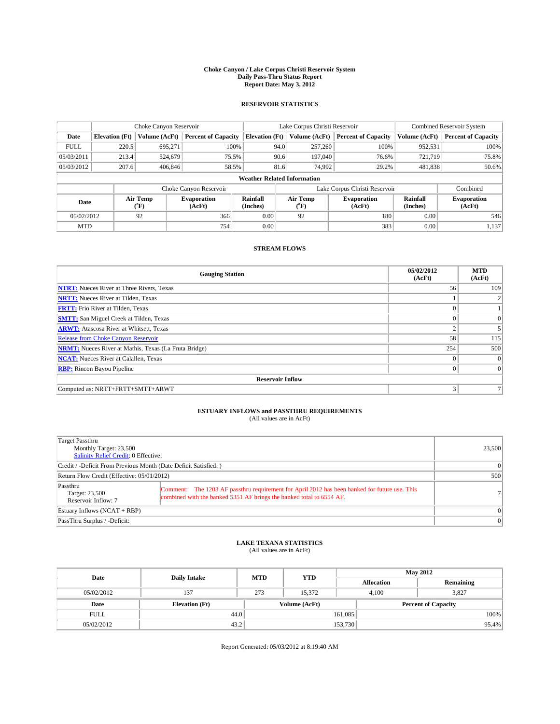#### **Choke Canyon / Lake Corpus Christi Reservoir System Daily Pass-Thru Status Report Report Date: May 3, 2012**

### **RESERVOIR STATISTICS**

|             | Choke Canyon Reservoir                                                                               |               |                              |                                    | Lake Corpus Christi Reservoir |               |                               |               | <b>Combined Reservoir System</b> |  |  |
|-------------|------------------------------------------------------------------------------------------------------|---------------|------------------------------|------------------------------------|-------------------------------|---------------|-------------------------------|---------------|----------------------------------|--|--|
| Date        | <b>Elevation</b> (Ft)                                                                                | Volume (AcFt) | <b>Percent of Capacity</b>   | <b>Elevation (Ft)</b>              |                               | Volume (AcFt) | <b>Percent of Capacity</b>    | Volume (AcFt) | Percent of Capacity              |  |  |
| <b>FULL</b> | 220.5                                                                                                | 695,271       | 100%                         |                                    | 94.0                          | 257,260       | 100%                          | 952,531       | 100%                             |  |  |
| 05/03/2011  | 213.4                                                                                                | 524,679       | 75.5%                        |                                    | 90.6                          | 197,040       | 76.6%                         | 721.719       | 75.8%                            |  |  |
| 05/03/2012  | 207.6                                                                                                | 406,846       | 58.5%                        |                                    | 81.6                          | 74,992        | 29.2%                         | 481.838       | $50.6\%$                         |  |  |
|             |                                                                                                      |               |                              | <b>Weather Related Information</b> |                               |               |                               |               |                                  |  |  |
|             |                                                                                                      |               | Choke Canyon Reservoir       |                                    |                               |               | Lake Corpus Christi Reservoir |               | Combined                         |  |  |
|             | Rainfall<br>Air Temp<br>Air Temp<br><b>Evaporation</b><br>Date<br>(Inches)<br>(AcFt)<br>(°F)<br>("F) |               | <b>Evaporation</b><br>(AcFt) | Rainfall<br>(Inches)               | <b>Evaporation</b><br>(AcFt)  |               |                               |               |                                  |  |  |
| 05/02/2012  |                                                                                                      | 92            | 366                          | 0.00                               |                               | 92            | 180                           | 0.00          | 546                              |  |  |
| <b>MTD</b>  |                                                                                                      |               | 754                          | 0.00                               |                               |               | 383                           | 0.00          | 1,137                            |  |  |

### **STREAM FLOWS**

| <b>Gauging Station</b>                                       | 05/02/2012<br>(AcFt) | <b>MTD</b><br>(AcFt) |  |  |  |  |  |
|--------------------------------------------------------------|----------------------|----------------------|--|--|--|--|--|
| <b>NTRT:</b> Nueces River at Three Rivers, Texas             | 56                   | 109                  |  |  |  |  |  |
| <b>NRTT:</b> Nueces River at Tilden, Texas                   |                      |                      |  |  |  |  |  |
| <b>FRTT:</b> Frio River at Tilden, Texas                     |                      |                      |  |  |  |  |  |
| <b>SMTT:</b> San Miguel Creek at Tilden, Texas               |                      | $\Omega$             |  |  |  |  |  |
| <b>ARWT:</b> Atascosa River at Whitsett, Texas               |                      |                      |  |  |  |  |  |
| <b>Release from Choke Canyon Reservoir</b>                   | 58                   | 115                  |  |  |  |  |  |
| <b>NRMT:</b> Nueces River at Mathis, Texas (La Fruta Bridge) | 254                  | 500                  |  |  |  |  |  |
| <b>NCAT:</b> Nueces River at Calallen, Texas                 | $\theta$             | $\overline{0}$       |  |  |  |  |  |
| <b>RBP:</b> Rincon Bayou Pipeline                            | $\theta$             | $\Omega$             |  |  |  |  |  |
| <b>Reservoir Inflow</b>                                      |                      |                      |  |  |  |  |  |
| Computed as: NRTT+FRTT+SMTT+ARWT                             | 3                    |                      |  |  |  |  |  |

# **ESTUARY INFLOWS and PASSTHRU REQUIREMENTS**<br>(All values are in AcFt)

| Target Passthru<br>Monthly Target: 23,500<br>Salinity Relief Credit: 0 Effective:                                                                                                                                          | 23,500   |
|----------------------------------------------------------------------------------------------------------------------------------------------------------------------------------------------------------------------------|----------|
| Credit / -Deficit From Previous Month (Date Deficit Satisfied: )                                                                                                                                                           | $\Omega$ |
| Return Flow Credit (Effective: 05/01/2012)                                                                                                                                                                                 | 500      |
| Passthru<br>Comment: The 1203 AF passthru requirement for April 2012 has been banked for future use. This<br>Target: 23,500<br>combined with the banked 5351 AF brings the banked total to 6554 AF.<br>Reservoir Inflow: 7 | 71       |
| Estuary Inflows (NCAT + RBP)                                                                                                                                                                                               | $\Omega$ |
| PassThru Surplus / -Deficit:                                                                                                                                                                                               | $\Omega$ |

## **LAKE TEXANA STATISTICS** (All values are in AcFt)

| Date        | <b>Daily Intake</b>   | <b>MTD</b> | <b>YTD</b>    | <b>May 2012</b>   |                            |           |  |
|-------------|-----------------------|------------|---------------|-------------------|----------------------------|-----------|--|
|             |                       |            |               | <b>Allocation</b> |                            | Remaining |  |
| 05/02/2012  | 137                   | 273        | 15.372        |                   | 4.100                      | 3.827     |  |
| Date        | <b>Elevation</b> (Ft) |            | Volume (AcFt) |                   | <b>Percent of Capacity</b> |           |  |
| <b>FULL</b> |                       | 44.0       |               | 161,085           |                            | 100%      |  |
| 05/02/2012  | 43.2                  |            |               | 153,730           |                            | 95.4%     |  |

Report Generated: 05/03/2012 at 8:19:40 AM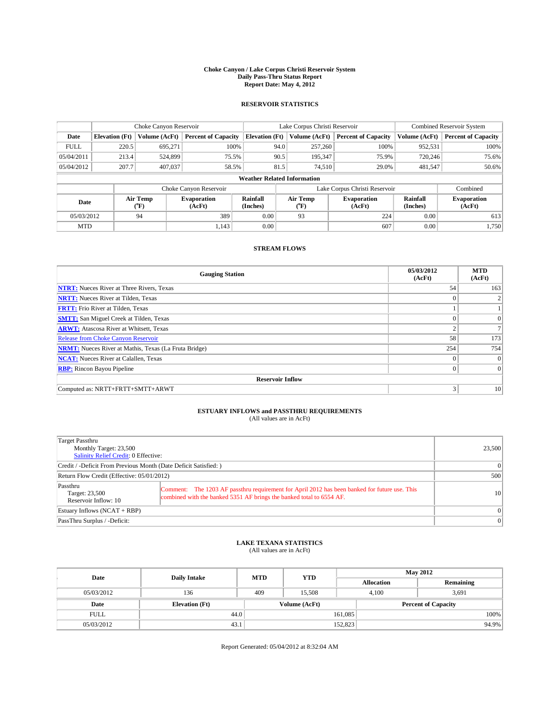#### **Choke Canyon / Lake Corpus Christi Reservoir System Daily Pass-Thru Status Report Report Date: May 4, 2012**

### **RESERVOIR STATISTICS**

|             |                       | Choke Canyon Reservoir |                              |                                    | Lake Corpus Christi Reservoir | <b>Combined Reservoir System</b> |                      |                              |
|-------------|-----------------------|------------------------|------------------------------|------------------------------------|-------------------------------|----------------------------------|----------------------|------------------------------|
| Date        | <b>Elevation</b> (Ft) | Volume (AcFt)          | <b>Percent of Capacity</b>   | <b>Elevation (Ft)</b>              | Volume (AcFt)                 | <b>Percent of Capacity</b>       | Volume (AcFt)        | <b>Percent of Capacity</b>   |
| <b>FULL</b> | 220.5                 | 695,271                | 100%                         | 94.0                               | 257,260                       | 100%                             | 952,531              | 100%                         |
| 05/04/2011  | 213.4                 | 524,899                | 75.5%                        | 90.5                               | 195,347                       | 75.9%                            | 720,246              | 75.6%                        |
| 05/04/2012  | 207.7                 | 407,037                | 58.5%                        | 81.5                               | 74,510                        | 29.0%                            | 481,547              | 50.6%                        |
|             |                       |                        |                              | <b>Weather Related Information</b> |                               |                                  |                      |                              |
|             |                       |                        | Choke Canyon Reservoir       |                                    | Lake Corpus Christi Reservoir |                                  | Combined             |                              |
| Date        |                       | Air Temp<br>(°F)       | <b>Evaporation</b><br>(AcFt) | Rainfall<br>(Inches)               | Air Temp<br>(°F)              | <b>Evaporation</b><br>(AcFt)     | Rainfall<br>(Inches) | <b>Evaporation</b><br>(AcFt) |
| 05/03/2012  |                       | 94                     | 389                          | 0.00                               | 93                            | 224                              | 0.00                 | 613                          |
| <b>MTD</b>  |                       |                        | 1.143                        | 0.00                               |                               | 607                              | 0.00                 | 1,750                        |

### **STREAM FLOWS**

| <b>Gauging Station</b>                                       | 05/03/2012<br>(AcFt) | <b>MTD</b><br>(AcFt) |  |  |  |  |  |
|--------------------------------------------------------------|----------------------|----------------------|--|--|--|--|--|
| <b>NTRT:</b> Nueces River at Three Rivers, Texas             | 54                   | 163                  |  |  |  |  |  |
| <b>NRTT:</b> Nueces River at Tilden, Texas                   | $\theta$             |                      |  |  |  |  |  |
| <b>FRTT:</b> Frio River at Tilden, Texas                     |                      |                      |  |  |  |  |  |
| <b>SMTT:</b> San Miguel Creek at Tilden, Texas               |                      | $\overline{0}$       |  |  |  |  |  |
| <b>ARWT:</b> Atascosa River at Whitsett, Texas               |                      |                      |  |  |  |  |  |
| <b>Release from Choke Canyon Reservoir</b>                   | 58                   | 173                  |  |  |  |  |  |
| <b>NRMT:</b> Nueces River at Mathis, Texas (La Fruta Bridge) | 254                  | 754                  |  |  |  |  |  |
| <b>NCAT:</b> Nueces River at Calallen, Texas                 | $\theta$             | $\overline{0}$       |  |  |  |  |  |
| <b>RBP:</b> Rincon Bayou Pipeline                            | $\theta$             | $\Omega$             |  |  |  |  |  |
| <b>Reservoir Inflow</b>                                      |                      |                      |  |  |  |  |  |
| Computed as: NRTT+FRTT+SMTT+ARWT                             | 3                    | 10                   |  |  |  |  |  |

# **ESTUARY INFLOWS and PASSTHRU REQUIREMENTS**<br>(All values are in AcFt)

| Target Passthru<br>Monthly Target: 23,500<br>Salinity Relief Credit: 0 Effective:                                                                                                                                           |           |  |  |  |  |
|-----------------------------------------------------------------------------------------------------------------------------------------------------------------------------------------------------------------------------|-----------|--|--|--|--|
| Credit / -Deficit From Previous Month (Date Deficit Satisfied: )                                                                                                                                                            |           |  |  |  |  |
| Return Flow Credit (Effective: 05/01/2012)                                                                                                                                                                                  |           |  |  |  |  |
| Passthru<br>Comment: The 1203 AF passthru requirement for April 2012 has been banked for future use. This<br>Target: 23,500<br>combined with the banked 5351 AF brings the banked total to 6554 AF.<br>Reservoir Inflow: 10 | <b>10</b> |  |  |  |  |
| Estuary Inflows (NCAT + RBP)                                                                                                                                                                                                | $\Omega$  |  |  |  |  |
| PassThru Surplus / -Deficit:                                                                                                                                                                                                | $\Omega$  |  |  |  |  |

## **LAKE TEXANA STATISTICS** (All values are in AcFt)

| Date        | <b>Daily Intake</b>   | <b>MTD</b> | <b>YTD</b>    | <b>May 2012</b>   |                            |           |  |
|-------------|-----------------------|------------|---------------|-------------------|----------------------------|-----------|--|
|             |                       |            |               | <b>Allocation</b> |                            | Remaining |  |
| 05/03/2012  | 136                   | 409        | 15.508        |                   | 4.100<br>3,691             |           |  |
| Date        | <b>Elevation</b> (Ft) |            | Volume (AcFt) |                   | <b>Percent of Capacity</b> |           |  |
| <b>FULL</b> | 44.0                  |            |               | 161,085           |                            | 100%      |  |
| 05/03/2012  | 43.1                  |            |               | 152,823           |                            | 94.9%     |  |

Report Generated: 05/04/2012 at 8:32:04 AM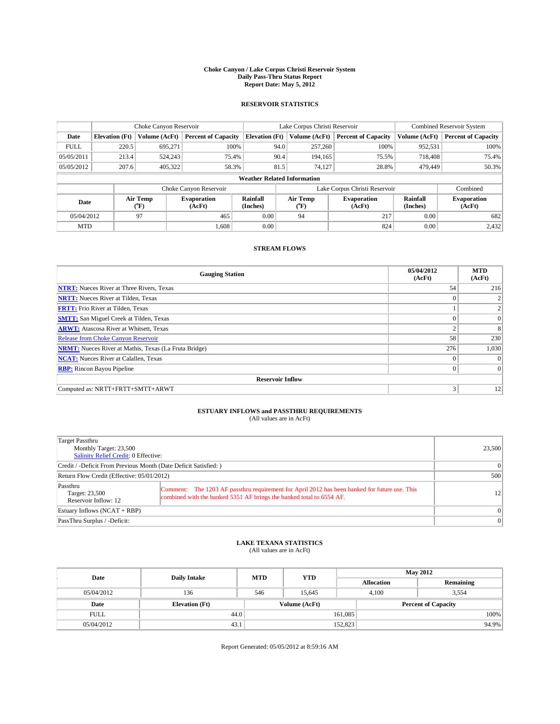#### **Choke Canyon / Lake Corpus Christi Reservoir System Daily Pass-Thru Status Report Report Date: May 5, 2012**

### **RESERVOIR STATISTICS**

|             | Choke Canyon Reservoir |                  | Lake Corpus Christi Reservoir |                                    |                               |                  | <b>Combined Reservoir System</b> |                      |                              |
|-------------|------------------------|------------------|-------------------------------|------------------------------------|-------------------------------|------------------|----------------------------------|----------------------|------------------------------|
| Date        | <b>Elevation</b> (Ft)  | Volume (AcFt)    | <b>Percent of Capacity</b>    | <b>Elevation (Ft)</b>              |                               | Volume (AcFt)    | <b>Percent of Capacity</b>       | Volume (AcFt)        | <b>Percent of Capacity</b>   |
| <b>FULL</b> | 220.5                  | 695,271          | 100%                          |                                    | 94.0                          | 257,260          | 100%                             | 952,531              | 100%                         |
| 05/05/2011  | 213.4                  | 524,243          | 75.4%                         |                                    | 90.4                          | 194,165          | 75.5%                            | 718,408              | 75.4%                        |
| 05/05/2012  | 207.6                  | 405,322          | 58.3%                         |                                    | 81.5                          | 74.127           | 28.8%                            | 479,449              | 50.3%                        |
|             |                        |                  |                               | <b>Weather Related Information</b> |                               |                  |                                  |                      |                              |
|             |                        |                  | Choke Canyon Reservoir        |                                    | Lake Corpus Christi Reservoir |                  |                                  |                      | Combined                     |
| Date        |                        | Air Temp<br>(°F) | <b>Evaporation</b><br>(AcFt)  | Rainfall<br>(Inches)               |                               | Air Temp<br>("F) | <b>Evaporation</b><br>(AcFt)     | Rainfall<br>(Inches) | <b>Evaporation</b><br>(AcFt) |
| 05/04/2012  |                        | 97               | 465                           | 0.00                               |                               | 94               | 217                              | 0.00                 | 682                          |
| <b>MTD</b>  |                        |                  | 1.608                         | 0.00                               |                               |                  | 824                              | 0.00                 | 2,432                        |

### **STREAM FLOWS**

| <b>Gauging Station</b>                                       | 05/04/2012<br>(AcFt) | <b>MTD</b><br>(AcFt) |  |  |  |  |  |
|--------------------------------------------------------------|----------------------|----------------------|--|--|--|--|--|
| <b>NTRT:</b> Nueces River at Three Rivers, Texas             | 54                   | 216                  |  |  |  |  |  |
| <b>NRTT:</b> Nueces River at Tilden, Texas                   | $\theta$             |                      |  |  |  |  |  |
| <b>FRTT:</b> Frio River at Tilden, Texas                     |                      |                      |  |  |  |  |  |
| <b>SMTT:</b> San Miguel Creek at Tilden, Texas               | $\theta$             | $\overline{0}$       |  |  |  |  |  |
| <b>ARWT:</b> Atascosa River at Whitsett, Texas               | $\overline{2}$       | 8                    |  |  |  |  |  |
| <b>Release from Choke Canyon Reservoir</b>                   | 58                   | 230                  |  |  |  |  |  |
| <b>NRMT:</b> Nueces River at Mathis, Texas (La Fruta Bridge) | 276                  | 1,030                |  |  |  |  |  |
| <b>NCAT:</b> Nueces River at Calallen, Texas                 | $\theta$             | $\Omega$             |  |  |  |  |  |
| <b>RBP:</b> Rincon Bayou Pipeline                            | $\theta$             | $\Omega$             |  |  |  |  |  |
| <b>Reservoir Inflow</b>                                      |                      |                      |  |  |  |  |  |
| Computed as: NRTT+FRTT+SMTT+ARWT                             | 3                    | 12                   |  |  |  |  |  |

# **ESTUARY INFLOWS and PASSTHRU REQUIREMENTS**<br>(All values are in AcFt)

| Target Passthru<br>Monthly Target: 23,500<br>Salinity Relief Credit: 0 Effective:                                                                                                                                           |          |  |  |  |  |
|-----------------------------------------------------------------------------------------------------------------------------------------------------------------------------------------------------------------------------|----------|--|--|--|--|
| Credit / -Deficit From Previous Month (Date Deficit Satisfied: )                                                                                                                                                            |          |  |  |  |  |
| Return Flow Credit (Effective: 05/01/2012)                                                                                                                                                                                  |          |  |  |  |  |
| Passthru<br>Comment: The 1203 AF passthru requirement for April 2012 has been banked for future use. This<br>Target: 23,500<br>combined with the banked 5351 AF brings the banked total to 6554 AF.<br>Reservoir Inflow: 12 | 12       |  |  |  |  |
| Estuary Inflows (NCAT + RBP)                                                                                                                                                                                                | $\Omega$ |  |  |  |  |
| PassThru Surplus / -Deficit:                                                                                                                                                                                                | $\Omega$ |  |  |  |  |

## **LAKE TEXANA STATISTICS** (All values are in AcFt)

| Date        | <b>Daily Intake</b>   | <b>MTD</b> | <b>YTD</b>    | <b>May 2012</b>   |                |                            |       |
|-------------|-----------------------|------------|---------------|-------------------|----------------|----------------------------|-------|
|             |                       |            |               | <b>Allocation</b> |                | Remaining                  |       |
| 05/04/2012  | 136                   | 546        | 15.645        |                   | 4.100<br>3,554 |                            |       |
| Date        | <b>Elevation</b> (Ft) |            | Volume (AcFt) |                   |                | <b>Percent of Capacity</b> |       |
| <b>FULL</b> | 44.0                  |            |               | 161,085           |                |                            | 100%  |
| 05/04/2012  | 43.1                  |            |               | 152,823           |                |                            | 94.9% |

Report Generated: 05/05/2012 at 8:59:16 AM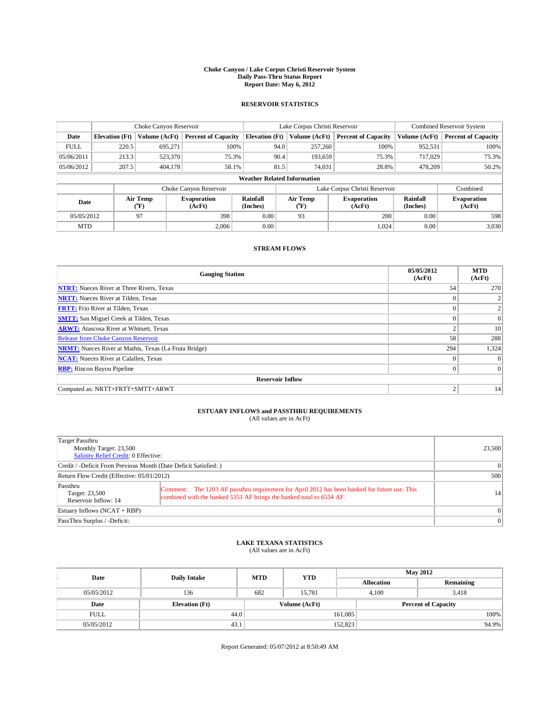#### **Choke Canyon / Lake Corpus Christi Reservoir System Daily Pass-Thru Status Report Report Date: May 6, 2012**

### **RESERVOIR STATISTICS**

|             | Choke Canyon Reservoir |                  |                            |                                    | Lake Corpus Christi Reservoir |                  |                              |                      | <b>Combined Reservoir System</b> |  |  |
|-------------|------------------------|------------------|----------------------------|------------------------------------|-------------------------------|------------------|------------------------------|----------------------|----------------------------------|--|--|
| Date        | <b>Elevation</b> (Ft)  | Volume (AcFt)    | <b>Percent of Capacity</b> | <b>Elevation (Ft)</b>              |                               | Volume (AcFt)    | <b>Percent of Capacity</b>   | Volume (AcFt)        | Percent of Capacity              |  |  |
| <b>FULL</b> | 220.5                  | 695,271          | 100%                       |                                    | 94.0                          | 257,260          | 100%                         | 952,531              | 100%                             |  |  |
| 05/06/2011  | 213.3                  | 523,370          | 75.3%                      |                                    | 90.4                          | 193,659          | 75.3%                        | 717,029              | 75.3%                            |  |  |
| 05/06/2012  | 207.5                  | 404,178          | 58.1%                      |                                    | 81.5                          | 74,031           | 28.8%                        | 478,209              | $50.2\%$                         |  |  |
|             |                        |                  |                            | <b>Weather Related Information</b> |                               |                  |                              |                      |                                  |  |  |
|             |                        |                  | Choke Canyon Reservoir     |                                    | Lake Corpus Christi Reservoir |                  |                              |                      | Combined                         |  |  |
| Date        |                        | Air Temp<br>(°F) | Evaporation<br>(AcFt)      | Rainfall<br>(Inches)               |                               | Air Temp<br>("F) | <b>Evaporation</b><br>(AcFt) | Rainfall<br>(Inches) | <b>Evaporation</b><br>(AcFt)     |  |  |
| 05/05/2012  |                        | 97               | 398                        | 0.00                               |                               | 93               | 200                          | 0.00                 | 598                              |  |  |
| <b>MTD</b>  |                        |                  | 2.006                      | 0.00                               |                               |                  | 1.024                        | 0.00                 | 3,030                            |  |  |

### **STREAM FLOWS**

| <b>Gauging Station</b>                                       | 05/05/2012<br>(AcFt) | <b>MTD</b><br>(AcFt) |  |  |  |  |  |
|--------------------------------------------------------------|----------------------|----------------------|--|--|--|--|--|
| <b>NTRT:</b> Nueces River at Three Rivers, Texas             | 54                   | 270                  |  |  |  |  |  |
| <b>NRTT:</b> Nueces River at Tilden, Texas                   | $\theta$             |                      |  |  |  |  |  |
| <b>FRTT:</b> Frio River at Tilden, Texas                     |                      | 2                    |  |  |  |  |  |
| <b>SMTT:</b> San Miguel Creek at Tilden, Texas               |                      | $\Omega$             |  |  |  |  |  |
| <b>ARWT:</b> Atascosa River at Whitsett, Texas               | $\overline{2}$       | 10                   |  |  |  |  |  |
| <b>Release from Choke Canyon Reservoir</b>                   | 58                   | 288                  |  |  |  |  |  |
| <b>NRMT:</b> Nueces River at Mathis, Texas (La Fruta Bridge) | 294                  | 1,324                |  |  |  |  |  |
| <b>NCAT:</b> Nueces River at Calallen, Texas                 | $\theta$             | $\Omega$             |  |  |  |  |  |
| <b>RBP:</b> Rincon Bayou Pipeline                            | $\theta$             | $\Omega$             |  |  |  |  |  |
| <b>Reservoir Inflow</b>                                      |                      |                      |  |  |  |  |  |
| Computed as: NRTT+FRTT+SMTT+ARWT                             | $\overline{2}$       | 14                   |  |  |  |  |  |

# **ESTUARY INFLOWS and PASSTHRU REQUIREMENTS**<br>(All values are in AcFt)

| Target Passthru<br>Monthly Target: 23,500<br>Salinity Relief Credit: 0 Effective: | 23,500                                                                                                                                                                |                 |
|-----------------------------------------------------------------------------------|-----------------------------------------------------------------------------------------------------------------------------------------------------------------------|-----------------|
| Credit / -Deficit From Previous Month (Date Deficit Satisfied: )                  | 0                                                                                                                                                                     |                 |
| Return Flow Credit (Effective: 05/01/2012)                                        | 500                                                                                                                                                                   |                 |
| Passthru<br>Target: 23,500<br>Reservoir Inflow: 14                                | Comment: The 1203 AF passthru requirement for April 2012 has been banked for future use. This<br>combined with the banked 5351 AF brings the banked total to 6554 AF. | 14 <sup>1</sup> |
| Estuary Inflows $(NCAT + RBP)$                                                    | $\Omega$                                                                                                                                                              |                 |
| PassThru Surplus / -Deficit:                                                      |                                                                                                                                                                       | 0               |

## **LAKE TEXANA STATISTICS** (All values are in AcFt)

| Date        | <b>Daily Intake</b>   | <b>MTD</b> | <b>YTD</b>    | <b>May 2012</b>   |                            |           |  |
|-------------|-----------------------|------------|---------------|-------------------|----------------------------|-----------|--|
|             |                       |            |               | <b>Allocation</b> |                            | Remaining |  |
| 05/05/2012  | 136                   | 682        | 15.781        |                   | 4.100<br>3.418             |           |  |
| Date        | <b>Elevation</b> (Ft) |            | Volume (AcFt) |                   | <b>Percent of Capacity</b> |           |  |
| <b>FULL</b> | 44.0                  |            |               | 161,085           |                            | 100%      |  |
| 05/05/2012  | 43.1                  |            |               | 152,823           |                            | 94.9%     |  |

Report Generated: 05/07/2012 at 8:50:49 AM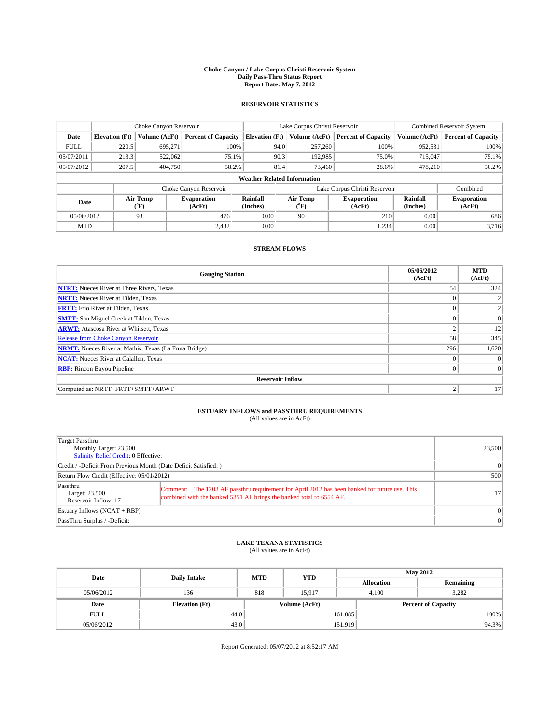#### **Choke Canyon / Lake Corpus Christi Reservoir System Daily Pass-Thru Status Report Report Date: May 7, 2012**

### **RESERVOIR STATISTICS**

|             | Choke Canyon Reservoir |               |                            |                                    | Lake Corpus Christi Reservoir |                  |                              |                      | <b>Combined Reservoir System</b> |  |  |
|-------------|------------------------|---------------|----------------------------|------------------------------------|-------------------------------|------------------|------------------------------|----------------------|----------------------------------|--|--|
| Date        | <b>Elevation</b> (Ft)  | Volume (AcFt) | <b>Percent of Capacity</b> | <b>Elevation (Ft)</b>              |                               | Volume (AcFt)    | <b>Percent of Capacity</b>   | Volume (AcFt)        | Percent of Capacity              |  |  |
| <b>FULL</b> | 220.5                  | 695,271       | 100%                       |                                    | 94.0                          | 257,260          | 100%                         | 952,531              | 100%                             |  |  |
| 05/07/2011  | 213.3                  | 522,062       | 75.1%                      |                                    | 90.3                          | 192,985          | 75.0%                        | 715,047              | $75.1\%$                         |  |  |
| 05/07/2012  | 207.5                  | 404,750       | 58.2%                      |                                    | 81.4                          | 73,460           | 28.6%                        | 478.210              | $50.2\%$                         |  |  |
|             |                        |               |                            | <b>Weather Related Information</b> |                               |                  |                              |                      |                                  |  |  |
|             |                        |               | Choke Canyon Reservoir     |                                    | Lake Corpus Christi Reservoir |                  |                              |                      | Combined                         |  |  |
| Date        | Air Temp<br>(°F)       |               | Evaporation<br>(AcFt)      | Rainfall<br>(Inches)               |                               | Air Temp<br>("F) | <b>Evaporation</b><br>(AcFt) | Rainfall<br>(Inches) | <b>Evaporation</b><br>(AcFt)     |  |  |
| 05/06/2012  |                        | 93            | 476                        | 0.00                               |                               | 90               | 210                          | 0.00                 | 686                              |  |  |
| <b>MTD</b>  |                        |               | 2.482                      | 0.00                               |                               |                  | 1,234                        | 0.00                 | 3.716                            |  |  |

### **STREAM FLOWS**

| <b>Gauging Station</b>                                       | 05/06/2012<br>(AcFt) | <b>MTD</b><br>(AcFt) |
|--------------------------------------------------------------|----------------------|----------------------|
| <b>NTRT:</b> Nueces River at Three Rivers, Texas             | 54                   | 324                  |
| <b>NRTT:</b> Nueces River at Tilden, Texas                   |                      |                      |
| <b>FRTT:</b> Frio River at Tilden, Texas                     |                      | 2                    |
| <b>SMTT:</b> San Miguel Creek at Tilden, Texas               |                      | $\Omega$             |
| <b>ARWT:</b> Atascosa River at Whitsett, Texas               | $\overline{2}$       | 12                   |
| <b>Release from Choke Canyon Reservoir</b>                   | 58                   | 345                  |
| <b>NRMT:</b> Nueces River at Mathis, Texas (La Fruta Bridge) | 296                  | 1,620                |
| <b>NCAT:</b> Nueces River at Calallen, Texas                 | $\theta$             | $\Omega$             |
| <b>RBP:</b> Rincon Bayou Pipeline                            | $\theta$             | $\Omega$             |
| <b>Reservoir Inflow</b>                                      |                      |                      |
| Computed as: NRTT+FRTT+SMTT+ARWT                             | $\overline{2}$       | 17                   |

# **ESTUARY INFLOWS and PASSTHRU REQUIREMENTS**<br>(All values are in AcFt)

| Target Passthru<br>Monthly Target: 23,500<br>Salinity Relief Credit: 0 Effective: |                                                                                                                                                                       | 23,500   |
|-----------------------------------------------------------------------------------|-----------------------------------------------------------------------------------------------------------------------------------------------------------------------|----------|
| Credit / -Deficit From Previous Month (Date Deficit Satisfied: )                  |                                                                                                                                                                       | $\Omega$ |
| Return Flow Credit (Effective: 05/01/2012)                                        |                                                                                                                                                                       | 500      |
| Passthru<br>Target: 23,500<br>Reservoir Inflow: 17                                | Comment: The 1203 AF passthru requirement for April 2012 has been banked for future use. This<br>combined with the banked 5351 AF brings the banked total to 6554 AF. | 171      |
| Estuary Inflows $(NCAT + RBP)$                                                    |                                                                                                                                                                       | $\Omega$ |
| PassThru Surplus / -Deficit:                                                      |                                                                                                                                                                       | $\Omega$ |

## **LAKE TEXANA STATISTICS** (All values are in AcFt)

| Date        | <b>Daily Intake</b>   | <b>MTD</b> | <b>YTD</b>    | <b>May 2012</b>            |                |           |       |
|-------------|-----------------------|------------|---------------|----------------------------|----------------|-----------|-------|
|             |                       |            |               | <b>Allocation</b>          |                | Remaining |       |
| 05/06/2012  | 136                   | 818        | 15.917        |                            | 3.282<br>4.100 |           |       |
| Date        | <b>Elevation</b> (Ft) |            | Volume (AcFt) | <b>Percent of Capacity</b> |                |           |       |
| <b>FULL</b> | 44.0                  |            |               | 161,085                    |                |           | 100%  |
| 05/06/2012  | 43.0                  |            |               | 151,919                    |                |           | 94.3% |

Report Generated: 05/07/2012 at 8:52:17 AM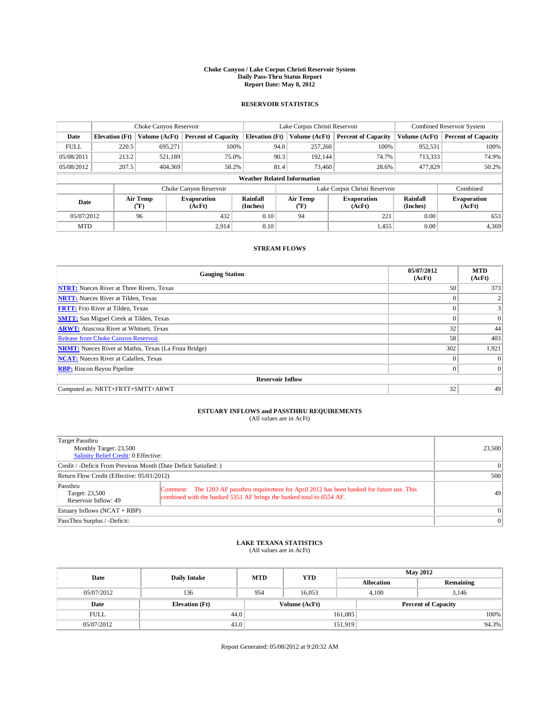#### **Choke Canyon / Lake Corpus Christi Reservoir System Daily Pass-Thru Status Report Report Date: May 8, 2012**

### **RESERVOIR STATISTICS**

|             | Choke Canyon Reservoir |                  | Lake Corpus Christi Reservoir |                                    |                               |                                             | <b>Combined Reservoir System</b> |                      |                              |
|-------------|------------------------|------------------|-------------------------------|------------------------------------|-------------------------------|---------------------------------------------|----------------------------------|----------------------|------------------------------|
| Date        | <b>Elevation</b> (Ft)  | Volume (AcFt)    | <b>Percent of Capacity</b>    | <b>Elevation (Ft)</b>              |                               | Volume (AcFt)<br><b>Percent of Capacity</b> |                                  | Volume (AcFt)        | Percent of Capacity          |
| <b>FULL</b> | 220.5                  | 695,271          | 100%                          |                                    | 94.0                          | 257,260                                     | 100%                             | 952,531              | 100%                         |
| 05/08/2011  | 213.2                  | 521,189          | 75.0%                         |                                    | 90.3                          | 192.144                                     | 74.7%                            | 713,333              | 74.9%                        |
| 05/08/2012  | 207.5                  | 404,369          | 58.2%                         |                                    | 81.4                          | 73,460                                      | 28.6%                            | 477,829              | $50.2\%$                     |
|             |                        |                  |                               | <b>Weather Related Information</b> |                               |                                             |                                  |                      |                              |
|             |                        |                  | Choke Canyon Reservoir        |                                    | Lake Corpus Christi Reservoir |                                             |                                  |                      | Combined                     |
| Date        |                        | Air Temp<br>(°F) | <b>Evaporation</b><br>(AcFt)  | Rainfall<br>(Inches)               |                               | Air Temp<br>("F)                            | <b>Evaporation</b><br>(AcFt)     | Rainfall<br>(Inches) | <b>Evaporation</b><br>(AcFt) |
| 05/07/2012  |                        | 96               | 432                           | 0.10                               |                               | 94                                          | 221                              | 0.00                 | 653                          |
| <b>MTD</b>  |                        |                  | 2.914                         | 0.10                               |                               |                                             | 1.455                            | 0.00                 | 4,369                        |

### **STREAM FLOWS**

| <b>Gauging Station</b>                                       | 05/07/2012<br>(AcFt) | <b>MTD</b><br>(AcFt) |  |  |  |  |
|--------------------------------------------------------------|----------------------|----------------------|--|--|--|--|
| <b>NTRT:</b> Nueces River at Three Rivers, Texas             | 50                   | 373                  |  |  |  |  |
| <b>NRTT:</b> Nueces River at Tilden, Texas                   |                      |                      |  |  |  |  |
| <b>FRTT:</b> Frio River at Tilden, Texas                     |                      | 3                    |  |  |  |  |
| <b>SMTT:</b> San Miguel Creek at Tilden, Texas               | $\theta$             | $\Omega$             |  |  |  |  |
| <b>ARWT:</b> Atascosa River at Whitsett, Texas               | 32                   | 44                   |  |  |  |  |
| <b>Release from Choke Canyon Reservoir</b>                   | 58                   | 403                  |  |  |  |  |
| <b>NRMT:</b> Nueces River at Mathis, Texas (La Fruta Bridge) | 302                  | 1,921                |  |  |  |  |
| <b>NCAT:</b> Nueces River at Calallen, Texas                 | $\theta$             | $\Omega$             |  |  |  |  |
| <b>RBP:</b> Rincon Bayou Pipeline                            | $\theta$             | $\Omega$             |  |  |  |  |
| <b>Reservoir Inflow</b>                                      |                      |                      |  |  |  |  |
| Computed as: NRTT+FRTT+SMTT+ARWT                             | 32                   | 49                   |  |  |  |  |

# **ESTUARY INFLOWS and PASSTHRU REQUIREMENTS**<br>(All values are in AcFt)

| Target Passthru<br>Monthly Target: 23,500<br>Salinity Relief Credit: 0 Effective: |                                                                                                                                                                       | 23,500   |
|-----------------------------------------------------------------------------------|-----------------------------------------------------------------------------------------------------------------------------------------------------------------------|----------|
| Credit / -Deficit From Previous Month (Date Deficit Satisfied: )                  | $\Omega$                                                                                                                                                              |          |
| Return Flow Credit (Effective: 05/01/2012)                                        |                                                                                                                                                                       | 500      |
| Passthru<br>Target: 23,500<br>Reservoir Inflow: 49                                | Comment: The 1203 AF passthru requirement for April 2012 has been banked for future use. This<br>combined with the banked 5351 AF brings the banked total to 6554 AF. | 49       |
| Estuary Inflows $(NCAT + RBP)$                                                    |                                                                                                                                                                       |          |
| PassThru Surplus / -Deficit:                                                      |                                                                                                                                                                       | $\Omega$ |

## **LAKE TEXANA STATISTICS** (All values are in AcFt)

| Date        | <b>Daily Intake</b>   | <b>MTD</b> | <b>YTD</b>    | <b>May 2012</b>            |                |           |  |
|-------------|-----------------------|------------|---------------|----------------------------|----------------|-----------|--|
|             |                       |            |               | <b>Allocation</b>          |                | Remaining |  |
| 05/07/2012  | 136                   | 954        | 16.053        |                            | 4.100<br>3.146 |           |  |
| Date        | <b>Elevation</b> (Ft) |            | Volume (AcFt) | <b>Percent of Capacity</b> |                |           |  |
| <b>FULL</b> | 44.0                  |            |               | 161,085                    |                | 100%      |  |
| 05/07/2012  | 43.0                  |            |               | 151,919                    |                | 94.3%     |  |

Report Generated: 05/08/2012 at 9:20:32 AM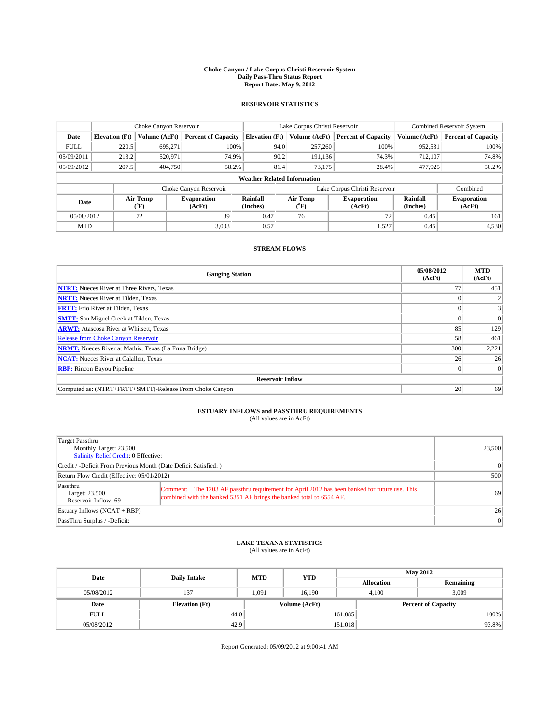#### **Choke Canyon / Lake Corpus Christi Reservoir System Daily Pass-Thru Status Report Report Date: May 9, 2012**

### **RESERVOIR STATISTICS**

|             |                       | Choke Canyon Reservoir |                              |                                                                      | Lake Corpus Christi Reservoir      | <b>Combined Reservoir System</b> |                      |                              |  |
|-------------|-----------------------|------------------------|------------------------------|----------------------------------------------------------------------|------------------------------------|----------------------------------|----------------------|------------------------------|--|
| Date        | <b>Elevation</b> (Ft) | Volume (AcFt)          | <b>Percent of Capacity</b>   | <b>Elevation (Ft)</b><br>Volume (AcFt)<br><b>Percent of Capacity</b> |                                    | Volume (AcFt)                    | Percent of Capacity  |                              |  |
| <b>FULL</b> | 220.5                 | 695,271                | 100%                         |                                                                      | 94.0<br>257,260                    | 100%                             | 952,531              | 100%                         |  |
| 05/09/2011  | 213.2                 | 520,971                | 74.9%                        |                                                                      | 90.2<br>191,136                    | 74.3%                            | 712.107              | 74.8%                        |  |
| 05/09/2012  | 207.5                 | 404,750                | 58.2%                        | 81.4                                                                 | 73,175                             | 28.4%                            | 477,925              | $50.2\%$                     |  |
|             |                       |                        |                              |                                                                      | <b>Weather Related Information</b> |                                  |                      |                              |  |
|             |                       |                        | Choke Canyon Reservoir       |                                                                      | Lake Corpus Christi Reservoir      |                                  |                      |                              |  |
| Date        |                       | Air Temp<br>(°F)       | <b>Evaporation</b><br>(AcFt) | Rainfall<br>(Inches)                                                 | Air Temp<br>("F)                   | <b>Evaporation</b><br>(AcFt)     | Rainfall<br>(Inches) | <b>Evaporation</b><br>(AcFt) |  |
| 05/08/2012  |                       | 72                     | 89                           | 0.47                                                                 | 76                                 | 72                               | 0.45                 | 161                          |  |
| <b>MTD</b>  |                       |                        | 3.003                        | 0.57                                                                 |                                    | 1,527                            | 0.45                 | 4,530                        |  |

### **STREAM FLOWS**

| <b>Gauging Station</b>                                       | 05/08/2012<br>(AcFt) | <b>MTD</b><br>(AcFt) |  |  |  |  |
|--------------------------------------------------------------|----------------------|----------------------|--|--|--|--|
| <b>NTRT:</b> Nueces River at Three Rivers, Texas             |                      | 451                  |  |  |  |  |
| <b>NRTT:</b> Nueces River at Tilden, Texas                   |                      |                      |  |  |  |  |
| <b>FRTT:</b> Frio River at Tilden, Texas                     |                      |                      |  |  |  |  |
| <b>SMTT:</b> San Miguel Creek at Tilden, Texas               |                      | $\Omega$             |  |  |  |  |
| <b>ARWT:</b> Atascosa River at Whitsett, Texas               | 85                   | 129                  |  |  |  |  |
| <b>Release from Choke Canyon Reservoir</b>                   | 58                   | 461                  |  |  |  |  |
| <b>NRMT:</b> Nueces River at Mathis, Texas (La Fruta Bridge) | 300                  | 2,221                |  |  |  |  |
| <b>NCAT:</b> Nueces River at Calallen, Texas                 | 26                   | 26                   |  |  |  |  |
| <b>RBP:</b> Rincon Bayou Pipeline                            | $\Omega$             | $\Omega$             |  |  |  |  |
| <b>Reservoir Inflow</b>                                      |                      |                      |  |  |  |  |
| Computed as: (NTRT+FRTT+SMTT)-Release From Choke Canyon      | 20                   | 69                   |  |  |  |  |

# **ESTUARY INFLOWS and PASSTHRU REQUIREMENTS**<br>(All values are in AcFt)

| Target Passthru<br>Monthly Target: 23,500<br>Salinity Relief Credit: 0 Effective: |                                                                                                                                                                       | 23,500    |
|-----------------------------------------------------------------------------------|-----------------------------------------------------------------------------------------------------------------------------------------------------------------------|-----------|
| Credit / -Deficit From Previous Month (Date Deficit Satisfied: )                  |                                                                                                                                                                       | $\Omega$  |
| Return Flow Credit (Effective: 05/01/2012)                                        |                                                                                                                                                                       | 500       |
| Passthru<br>Target: 23,500<br>Reservoir Inflow: 69                                | Comment: The 1203 AF passthru requirement for April 2012 has been banked for future use. This<br>combined with the banked 5351 AF brings the banked total to 6554 AF. | 69        |
| Estuary Inflows $(NCAT + RBP)$                                                    |                                                                                                                                                                       | 26        |
| PassThru Surplus / -Deficit:                                                      |                                                                                                                                                                       | $\vert$ 0 |

## **LAKE TEXANA STATISTICS** (All values are in AcFt)

| Date        | <b>Daily Intake</b>   | <b>MTD</b> | <b>YTD</b>    | <b>May 2012</b>            |       |           |  |
|-------------|-----------------------|------------|---------------|----------------------------|-------|-----------|--|
|             |                       |            |               | <b>Allocation</b>          |       | Remaining |  |
| 05/08/2012  | 137                   | 1.091      | 16.190        |                            | 4.100 | 3,009     |  |
| Date        | <b>Elevation</b> (Ft) |            | Volume (AcFt) | <b>Percent of Capacity</b> |       |           |  |
| <b>FULL</b> | 44.0                  |            |               | 161,085                    |       | 100%      |  |
| 05/08/2012  | 42.9                  |            |               | 151,018                    |       | 93.8%     |  |

Report Generated: 05/09/2012 at 9:00:41 AM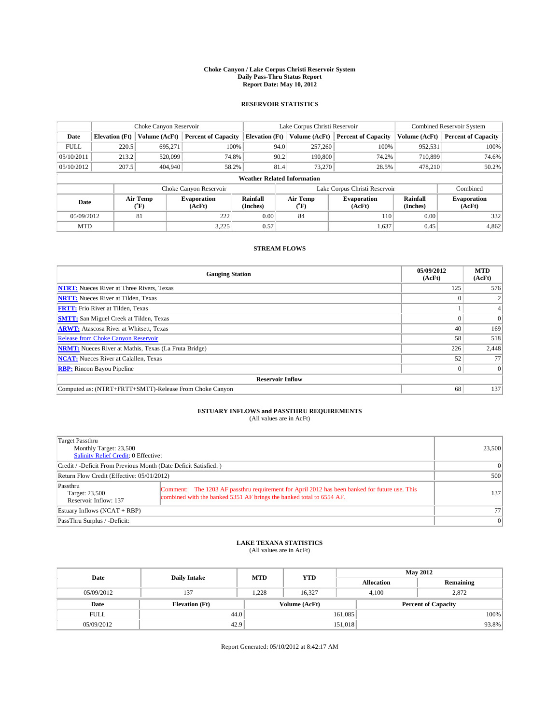#### **Choke Canyon / Lake Corpus Christi Reservoir System Daily Pass-Thru Status Report Report Date: May 10, 2012**

### **RESERVOIR STATISTICS**

|             |                       | Choke Canyon Reservoir |                            |                                    | Lake Corpus Christi Reservoir | <b>Combined Reservoir System</b> |                      |                              |
|-------------|-----------------------|------------------------|----------------------------|------------------------------------|-------------------------------|----------------------------------|----------------------|------------------------------|
| Date        | <b>Elevation</b> (Ft) | Volume (AcFt)          | <b>Percent of Capacity</b> | <b>Elevation (Ft)</b>              | Volume (AcFt)                 | <b>Percent of Capacity</b>       | Volume (AcFt)        | Percent of Capacity          |
| <b>FULL</b> | 220.5                 | 695,271                | 100%                       | 94.0                               | 257,260                       | 100%                             | 952,531              | 100%                         |
| 05/10/2011  | 213.2                 | 520,099                | 74.8%                      | 90.2                               | 190,800                       | 74.2%                            | 710,899              | 74.6%                        |
| 05/10/2012  | 207.5                 | 404,940                | 58.2%                      | 81.4                               | 73,270                        | 28.5%                            | 478.210              | $50.2\%$                     |
|             |                       |                        |                            | <b>Weather Related Information</b> |                               |                                  |                      |                              |
|             |                       |                        | Choke Canyon Reservoir     |                                    |                               | Lake Corpus Christi Reservoir    |                      | Combined                     |
| Date        |                       | Air Temp<br>(°F)       | Evaporation<br>(AcFt)      | Rainfall<br>(Inches)               | Air Temp<br>("F)              | <b>Evaporation</b><br>(AcFt)     | Rainfall<br>(Inches) | <b>Evaporation</b><br>(AcFt) |
| 05/09/2012  |                       | 81                     | 222                        | 0.00                               | 84                            | 110                              | 0.00                 | 332                          |
| <b>MTD</b>  |                       |                        | 3.225                      | 0.57                               |                               | 1,637                            | 0.45                 | 4,862                        |

### **STREAM FLOWS**

| <b>Gauging Station</b>                                       | 05/09/2012<br>(AcFt) | <b>MTD</b><br>(AcFt) |  |  |  |  |
|--------------------------------------------------------------|----------------------|----------------------|--|--|--|--|
| <b>NTRT:</b> Nueces River at Three Rivers, Texas             | 125                  | 576                  |  |  |  |  |
| <b>NRTT:</b> Nueces River at Tilden, Texas                   |                      |                      |  |  |  |  |
| <b>FRTT:</b> Frio River at Tilden, Texas                     |                      |                      |  |  |  |  |
| <b>SMTT:</b> San Miguel Creek at Tilden, Texas               |                      | $\Omega$             |  |  |  |  |
| <b>ARWT:</b> Atascosa River at Whitsett, Texas               | 40                   | 169                  |  |  |  |  |
| Release from Choke Canyon Reservoir                          | 58                   | 518                  |  |  |  |  |
| <b>NRMT:</b> Nueces River at Mathis, Texas (La Fruta Bridge) | 226                  | 2,448                |  |  |  |  |
| <b>NCAT:</b> Nueces River at Calallen, Texas                 | 52                   | 77                   |  |  |  |  |
| <b>RBP:</b> Rincon Bayou Pipeline                            | 0                    | $\Omega$             |  |  |  |  |
| <b>Reservoir Inflow</b>                                      |                      |                      |  |  |  |  |
| Computed as: (NTRT+FRTT+SMTT)-Release From Choke Canyon      | 68                   | 137                  |  |  |  |  |

# **ESTUARY INFLOWS and PASSTHRU REQUIREMENTS**<br>(All values are in AcFt)

| Target Passthru<br>Monthly Target: 23,500<br>Salinity Relief Credit: 0 Effective: |                                                                                                                                                                       |                  |  |  |
|-----------------------------------------------------------------------------------|-----------------------------------------------------------------------------------------------------------------------------------------------------------------------|------------------|--|--|
| Credit / -Deficit From Previous Month (Date Deficit Satisfied: )                  | $\Omega$                                                                                                                                                              |                  |  |  |
| Return Flow Credit (Effective: 05/01/2012)                                        | 500                                                                                                                                                                   |                  |  |  |
| Passthru<br>Target: 23,500<br>Reservoir Inflow: 137                               | Comment: The 1203 AF passthru requirement for April 2012 has been banked for future use. This<br>combined with the banked 5351 AF brings the banked total to 6554 AF. | 137 <sup>1</sup> |  |  |
| Estuary Inflows $(NCAT + RBP)$                                                    | 77                                                                                                                                                                    |                  |  |  |
| PassThru Surplus / -Deficit:                                                      | $\Omega$                                                                                                                                                              |                  |  |  |

## **LAKE TEXANA STATISTICS** (All values are in AcFt)

| Date        | <b>Daily Intake</b>   | <b>MTD</b> | <b>YTD</b>    | <b>May 2012</b>   |                |                            |  |
|-------------|-----------------------|------------|---------------|-------------------|----------------|----------------------------|--|
|             |                       |            |               | <b>Allocation</b> |                | Remaining                  |  |
| 05/09/2012  | 137                   | .228       | 16,327        |                   | 2,872<br>4,100 |                            |  |
| Date        | <b>Elevation</b> (Ft) |            | Volume (AcFt) |                   |                | <b>Percent of Capacity</b> |  |
| <b>FULL</b> | 44.0                  |            |               | 161,085           |                | 100%                       |  |
| 05/09/2012  | 42.9                  |            |               | 151,018           |                | 93.8%                      |  |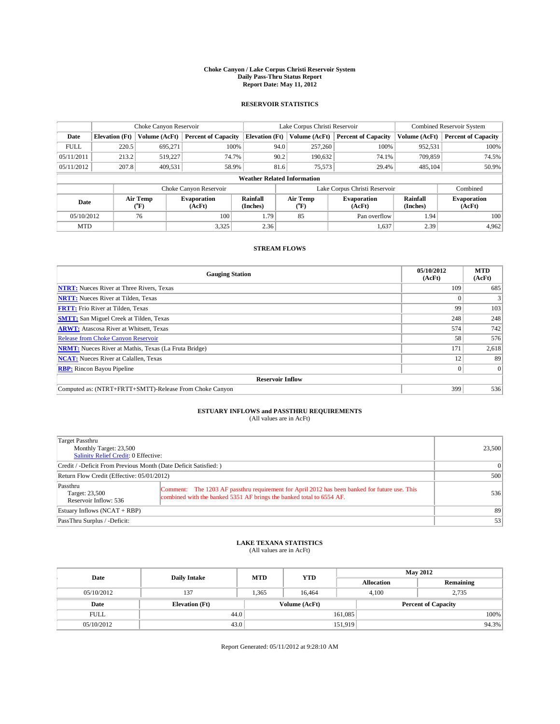#### **Choke Canyon / Lake Corpus Christi Reservoir System Daily Pass-Thru Status Report Report Date: May 11, 2012**

### **RESERVOIR STATISTICS**

|             |                                    | Choke Canyon Reservoir |                            |                       | Lake Corpus Christi Reservoir             | <b>Combined Reservoir System</b> |                      |                              |  |
|-------------|------------------------------------|------------------------|----------------------------|-----------------------|-------------------------------------------|----------------------------------|----------------------|------------------------------|--|
| Date        | <b>Elevation</b> (Ft)              | Volume (AcFt)          | <b>Percent of Capacity</b> | <b>Elevation (Ft)</b> | Volume (AcFt)                             | <b>Percent of Capacity</b>       | Volume (AcFt)        | Percent of Capacity          |  |
| <b>FULL</b> | 220.5                              | 695,271                | 100%                       | 94.0                  | 257,260                                   | 100%                             | 952,531              | 100%                         |  |
| 05/11/2011  | 213.2                              | 519,227                | 74.7%                      | 90.2                  | 190,632                                   | 74.1%                            | 709,859              | 74.5%                        |  |
| 05/11/2012  | 207.8                              | 409,531                | 58.9%                      | 81.6                  | 75,573                                    | 29.4%                            | 485,104              | 50.9%                        |  |
|             | <b>Weather Related Information</b> |                        |                            |                       |                                           |                                  |                      |                              |  |
|             |                                    |                        | Choke Canyon Reservoir     |                       |                                           | Lake Corpus Christi Reservoir    |                      | Combined                     |  |
| Date        |                                    | Air Temp<br>("F)       | Evaporation<br>(AcFt)      | Rainfall<br>(Inches)  | Air Temp<br>$({}^{\mathrm{o}}\mathrm{F})$ | Evaporation<br>(AcFt)            | Rainfall<br>(Inches) | <b>Evaporation</b><br>(AcFt) |  |
| 05/10/2012  |                                    | 76                     | 100                        | 1.79                  | 85                                        | Pan overflow                     | 1.94                 | 100 <sub>1</sub>             |  |
| <b>MTD</b>  |                                    |                        | 3,325                      | 2.36                  |                                           | 1,637                            | 2.39                 | 4.962                        |  |

### **STREAM FLOWS**

| <b>Gauging Station</b>                                       | 05/10/2012<br>(AcFt) | <b>MTD</b><br>(AcFt) |  |  |  |  |
|--------------------------------------------------------------|----------------------|----------------------|--|--|--|--|
| <b>NTRT:</b> Nueces River at Three Rivers, Texas             | 109                  | 685                  |  |  |  |  |
| <b>NRTT:</b> Nueces River at Tilden, Texas                   |                      |                      |  |  |  |  |
| <b>FRTT:</b> Frio River at Tilden, Texas                     | 99                   | 103                  |  |  |  |  |
| <b>SMTT:</b> San Miguel Creek at Tilden, Texas               | 248                  | 248                  |  |  |  |  |
| <b>ARWT:</b> Atascosa River at Whitsett, Texas               | 574                  | 742                  |  |  |  |  |
| <b>Release from Choke Canyon Reservoir</b>                   | 58                   | 576                  |  |  |  |  |
| <b>NRMT:</b> Nueces River at Mathis, Texas (La Fruta Bridge) | 171                  | 2,618                |  |  |  |  |
| <b>NCAT:</b> Nueces River at Calallen, Texas                 | 12                   | 89                   |  |  |  |  |
| <b>RBP:</b> Rincon Bayou Pipeline                            | $\Omega$             | $\Omega$             |  |  |  |  |
| <b>Reservoir Inflow</b>                                      |                      |                      |  |  |  |  |
| Computed as: (NTRT+FRTT+SMTT)-Release From Choke Canyon      | 399                  | 536                  |  |  |  |  |

# **ESTUARY INFLOWS and PASSTHRU REQUIREMENTS**<br>(All values are in AcFt)

| Target Passthru<br>Monthly Target: 23,500<br>Salinity Relief Credit: 0 Effective: |                                                                                                                                                                       |     |  |  |
|-----------------------------------------------------------------------------------|-----------------------------------------------------------------------------------------------------------------------------------------------------------------------|-----|--|--|
| Credit / -Deficit From Previous Month (Date Deficit Satisfied: )                  | 0                                                                                                                                                                     |     |  |  |
| Return Flow Credit (Effective: 05/01/2012)                                        | 500                                                                                                                                                                   |     |  |  |
| Passthru<br>Target: 23,500<br>Reservoir Inflow: 536                               | Comment: The 1203 AF passthru requirement for April 2012 has been banked for future use. This<br>combined with the banked 5351 AF brings the banked total to 6554 AF. | 536 |  |  |
| Estuary Inflows $(NCAT + RBP)$                                                    | 89                                                                                                                                                                    |     |  |  |
| PassThru Surplus / -Deficit:                                                      | 53                                                                                                                                                                    |     |  |  |

# **LAKE TEXANA STATISTICS** (All values are in AcFt)

| Date        | <b>Daily Intake</b>   | <b>MTD</b> | <b>YTD</b>    | <b>May 2012</b>   |                            |           |  |
|-------------|-----------------------|------------|---------------|-------------------|----------------------------|-----------|--|
|             |                       |            |               | <b>Allocation</b> |                            | Remaining |  |
| 05/10/2012  | 137                   | 1.365      | 16.464        |                   | 2,735<br>4.100             |           |  |
| Date        | <b>Elevation</b> (Ft) |            | Volume (AcFt) |                   | <b>Percent of Capacity</b> |           |  |
| <b>FULL</b> | 44.0                  |            |               | 161,085           |                            | 100%      |  |
| 05/10/2012  | 43.0                  |            |               | 151,919           |                            | 94.3%     |  |

Report Generated: 05/11/2012 at 9:28:10 AM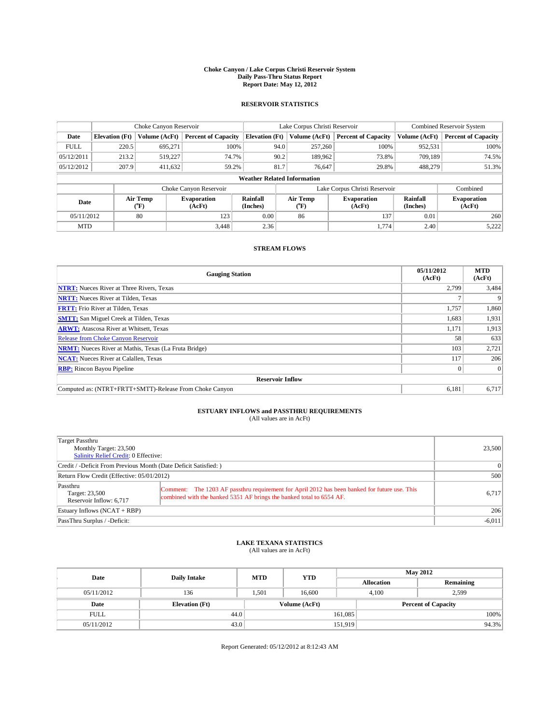#### **Choke Canyon / Lake Corpus Christi Reservoir System Daily Pass-Thru Status Report Report Date: May 12, 2012**

### **RESERVOIR STATISTICS**

|             |                       | Choke Canyon Reservoir |                              |                                    | Lake Corpus Christi Reservoir | <b>Combined Reservoir System</b> |                      |                              |
|-------------|-----------------------|------------------------|------------------------------|------------------------------------|-------------------------------|----------------------------------|----------------------|------------------------------|
| Date        | <b>Elevation</b> (Ft) | Volume (AcFt)          | <b>Percent of Capacity</b>   | <b>Elevation (Ft)</b>              | Volume (AcFt)                 | <b>Percent of Capacity</b>       | Volume (AcFt)        | <b>Percent of Capacity</b>   |
| <b>FULL</b> | 220.5                 | 695,271                | 100%                         | 94.0                               | 257,260                       | 100%                             | 952,531              | 100%                         |
| 05/12/2011  | 213.2                 | 519,227                | 74.7%                        | 90.2                               | 189,962                       | 73.8%                            | 709,189              | 74.5%                        |
| 05/12/2012  | 207.9                 | 411.632                | 59.2%                        | 81.7                               | 76.647                        | 29.8%                            | 488,279              | 51.3%                        |
|             |                       |                        |                              | <b>Weather Related Information</b> |                               |                                  |                      |                              |
|             |                       |                        | Choke Canyon Reservoir       |                                    |                               | Lake Corpus Christi Reservoir    |                      | Combined                     |
| Date        |                       | Air Temp<br>(°F)       | <b>Evaporation</b><br>(AcFt) | Rainfall<br>(Inches)               | Air Temp<br>(°F)              | <b>Evaporation</b><br>(AcFt)     | Rainfall<br>(Inches) | <b>Evaporation</b><br>(AcFt) |
| 05/11/2012  |                       | 80                     | 123                          | 0.00                               | 86                            | 137                              | 0.01                 | 260                          |
| <b>MTD</b>  |                       |                        | 3.448                        | 2.36                               |                               | 1,774                            | 2.40                 | 5,222                        |

### **STREAM FLOWS**

| <b>Gauging Station</b>                                       | 05/11/2012<br>(AcFt) | <b>MTD</b><br>(AcFt) |  |  |  |  |
|--------------------------------------------------------------|----------------------|----------------------|--|--|--|--|
| <b>NTRT:</b> Nueces River at Three Rivers, Texas             | 2,799                | 3,484                |  |  |  |  |
| <b>NRTT:</b> Nueces River at Tilden, Texas                   |                      |                      |  |  |  |  |
| <b>FRTT:</b> Frio River at Tilden, Texas                     | 1,757                | 1,860                |  |  |  |  |
| <b>SMTT:</b> San Miguel Creek at Tilden, Texas               | 1,683                | 1,931                |  |  |  |  |
| <b>ARWT:</b> Atascosa River at Whitsett, Texas               | 1,171                | 1,913                |  |  |  |  |
| <b>Release from Choke Canyon Reservoir</b>                   | 58                   | 633                  |  |  |  |  |
| <b>NRMT:</b> Nueces River at Mathis, Texas (La Fruta Bridge) | 103                  | 2,721                |  |  |  |  |
| <b>NCAT:</b> Nueces River at Calallen, Texas                 | 117                  | 206                  |  |  |  |  |
| <b>RBP:</b> Rincon Bayou Pipeline                            | $\Omega$             | $\Omega$             |  |  |  |  |
| <b>Reservoir Inflow</b>                                      |                      |                      |  |  |  |  |
| Computed as: (NTRT+FRTT+SMTT)-Release From Choke Canyon      | 6,181                | 6,717                |  |  |  |  |

# **ESTUARY INFLOWS and PASSTHRU REQUIREMENTS**<br>(All values are in AcFt)

| Target Passthru<br>Monthly Target: 23,500<br>Salinity Relief Credit: 0 Effective: |                                                                                                                                                                       |       |  |  |
|-----------------------------------------------------------------------------------|-----------------------------------------------------------------------------------------------------------------------------------------------------------------------|-------|--|--|
| Credit / -Deficit From Previous Month (Date Deficit Satisfied: )                  | $\Omega$                                                                                                                                                              |       |  |  |
| Return Flow Credit (Effective: 05/01/2012)                                        | 500                                                                                                                                                                   |       |  |  |
| Passthru<br>Target: 23,500<br>Reservoir Inflow: 6,717                             | Comment: The 1203 AF passthru requirement for April 2012 has been banked for future use. This<br>combined with the banked 5351 AF brings the banked total to 6554 AF. | 6.717 |  |  |
| Estuary Inflows $(NCAT + RBP)$                                                    | 206                                                                                                                                                                   |       |  |  |
| PassThru Surplus / -Deficit:                                                      | $-6,011$                                                                                                                                                              |       |  |  |

## **LAKE TEXANA STATISTICS** (All values are in AcFt)

| Date        | <b>Daily Intake</b>   | <b>MTD</b> | <b>YTD</b>    | <b>May 2012</b>   |                |                            |  |
|-------------|-----------------------|------------|---------------|-------------------|----------------|----------------------------|--|
|             |                       |            |               | <b>Allocation</b> |                | Remaining                  |  |
| 05/11/2012  | 136                   | 1.501      | 16.600        |                   | 2,599<br>4.100 |                            |  |
| Date        | <b>Elevation</b> (Ft) |            | Volume (AcFt) |                   |                | <b>Percent of Capacity</b> |  |
| <b>FULL</b> | 44.0                  |            |               | 161,085           |                | 100%                       |  |
| 05/11/2012  | 43.0                  |            |               | 151,919           |                | 94.3%                      |  |

Report Generated: 05/12/2012 at 8:12:43 AM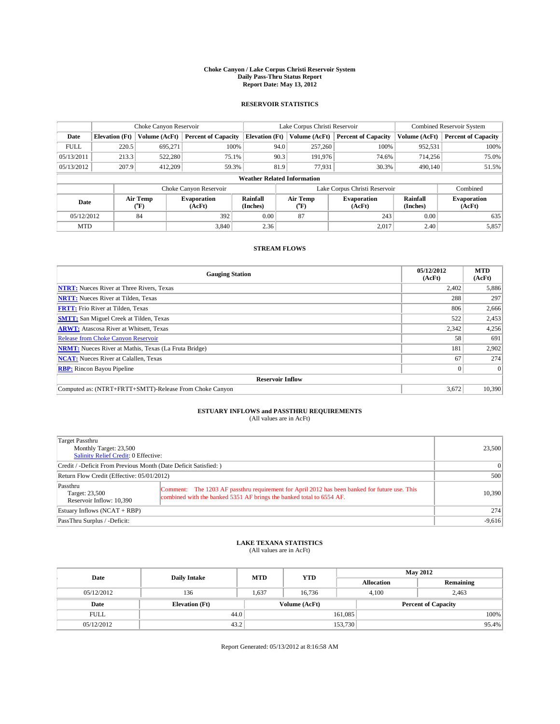#### **Choke Canyon / Lake Corpus Christi Reservoir System Daily Pass-Thru Status Report Report Date: May 13, 2012**

### **RESERVOIR STATISTICS**

|                          | Choke Canyon Reservoir |                              |                            |                                    |                       | Lake Corpus Christi Reservoir                        | <b>Combined Reservoir System</b> |                              |                            |
|--------------------------|------------------------|------------------------------|----------------------------|------------------------------------|-----------------------|------------------------------------------------------|----------------------------------|------------------------------|----------------------------|
| Date                     | <b>Elevation</b> (Ft)  | Volume (AcFt)                | <b>Percent of Capacity</b> | <b>Elevation (Ft)</b>              |                       | Volume (AcFt)                                        | <b>Percent of Capacity</b>       | Volume (AcFt)                | <b>Percent of Capacity</b> |
| <b>FULL</b>              | 220.5                  | 695,271                      | 100%                       |                                    | 94.0                  | 257,260                                              | 100%                             | 952,531                      | 100%                       |
| 05/13/2011               | 213.3                  | 522,280                      | 75.1%                      |                                    | 90.3                  | 191.976                                              | 74.6%                            | 714,256                      | 75.0%                      |
| 05/13/2012               | 207.9                  | 412,209                      | 59.3%                      |                                    | 81.9                  | 77,931                                               | 30.3%                            | 490,140                      | 51.5%                      |
|                          |                        |                              |                            | <b>Weather Related Information</b> |                       |                                                      |                                  |                              |                            |
|                          |                        |                              | Choke Canyon Reservoir     |                                    |                       |                                                      | Lake Corpus Christi Reservoir    |                              | Combined                   |
| Air Temp<br>Date<br>(°F) |                        | <b>Evaporation</b><br>(AcFt) | Rainfall<br>(Inches)       |                                    | Air Temp<br>$(^{0}F)$ | Rainfall<br><b>Evaporation</b><br>(AcFt)<br>(Inches) |                                  | <b>Evaporation</b><br>(AcFt) |                            |
| 05/12/2012               |                        | 84                           | 392                        | 0.00                               |                       | 87                                                   | 243                              | 0.00                         | 635                        |
| <b>MTD</b>               |                        |                              | 3.840                      | 2.36                               |                       |                                                      | 2,017                            | 2.40                         | 5,857                      |

### **STREAM FLOWS**

| <b>Gauging Station</b>                                       | 05/12/2012<br>(AcFt) | <b>MTD</b><br>(AcFt) |  |  |  |
|--------------------------------------------------------------|----------------------|----------------------|--|--|--|
| <b>NTRT:</b> Nueces River at Three Rivers, Texas             | 2.402                | 5,886                |  |  |  |
| <b>NRTT:</b> Nueces River at Tilden, Texas                   | 288                  | 297                  |  |  |  |
| <b>FRTT:</b> Frio River at Tilden, Texas                     | 806                  | 2,666                |  |  |  |
| <b>SMTT:</b> San Miguel Creek at Tilden, Texas               | 522                  | 2,453                |  |  |  |
| <b>ARWT:</b> Atascosa River at Whitsett, Texas               | 2,342                | 4,256                |  |  |  |
| <b>Release from Choke Canyon Reservoir</b>                   | 58                   | 691                  |  |  |  |
| <b>NRMT:</b> Nueces River at Mathis, Texas (La Fruta Bridge) | 181                  | 2,902                |  |  |  |
| <b>NCAT:</b> Nueces River at Calallen, Texas                 | 67                   | 274                  |  |  |  |
| <b>RBP:</b> Rincon Bayou Pipeline                            |                      | $\overline{0}$       |  |  |  |
| <b>Reservoir Inflow</b>                                      |                      |                      |  |  |  |
| Computed as: (NTRT+FRTT+SMTT)-Release From Choke Canyon      | 3,672                | 10,390               |  |  |  |

# **ESTUARY INFLOWS and PASSTHRU REQUIREMENTS**<br>(All values are in AcFt)

| Target Passthru<br>Monthly Target: 23,500<br>Salinity Relief Credit: 0 Effective: |                                                                                                                                                                       | 23,500   |  |  |
|-----------------------------------------------------------------------------------|-----------------------------------------------------------------------------------------------------------------------------------------------------------------------|----------|--|--|
| Credit / -Deficit From Previous Month (Date Deficit Satisfied: )                  |                                                                                                                                                                       | 0        |  |  |
| Return Flow Credit (Effective: 05/01/2012)                                        |                                                                                                                                                                       |          |  |  |
| Passthru<br>Target: 23,500<br>Reservoir Inflow: 10.390                            | Comment: The 1203 AF passthru requirement for April 2012 has been banked for future use. This<br>combined with the banked 5351 AF brings the banked total to 6554 AF. | 10,390   |  |  |
| Estuary Inflows $(NCAT + RBP)$                                                    |                                                                                                                                                                       | 274      |  |  |
| PassThru Surplus / -Deficit:                                                      |                                                                                                                                                                       | $-9,616$ |  |  |

# **LAKE TEXANA STATISTICS** (All values are in AcFt)

| Date        | <b>Daily Intake</b>   | <b>MTD</b> | <b>YTD</b>    | <b>May 2012</b>   |                |                            |  |
|-------------|-----------------------|------------|---------------|-------------------|----------------|----------------------------|--|
|             |                       |            |               | <b>Allocation</b> |                | Remaining                  |  |
| 05/12/2012  | 136                   | 1.637      | 16.736        |                   | 2,463<br>4.100 |                            |  |
| Date        | <b>Elevation</b> (Ft) |            | Volume (AcFt) |                   |                | <b>Percent of Capacity</b> |  |
| <b>FULL</b> | 44.0                  |            |               | 161,085           |                | 100%                       |  |
| 05/12/2012  | 43.2                  |            |               | 153,730           |                | 95.4%                      |  |

Report Generated: 05/13/2012 at 8:16:58 AM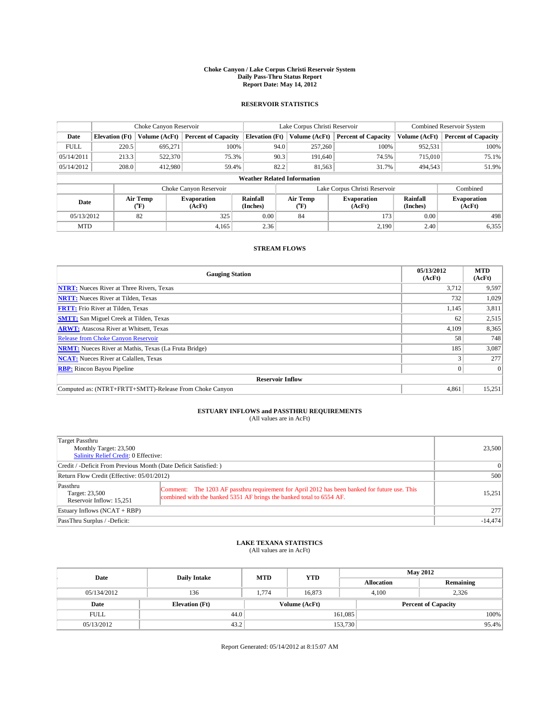#### **Choke Canyon / Lake Corpus Christi Reservoir System Daily Pass-Thru Status Report Report Date: May 14, 2012**

### **RESERVOIR STATISTICS**

|             | Choke Canyon Reservoir |                                                                                                        |                            |                                    | Lake Corpus Christi Reservoir                                        | <b>Combined Reservoir System</b> |               |                            |
|-------------|------------------------|--------------------------------------------------------------------------------------------------------|----------------------------|------------------------------------|----------------------------------------------------------------------|----------------------------------|---------------|----------------------------|
| Date        | <b>Elevation</b> (Ft)  | Volume (AcFt)                                                                                          | <b>Percent of Capacity</b> |                                    | <b>Elevation (Ft)</b><br>Volume (AcFt)<br><b>Percent of Capacity</b> |                                  | Volume (AcFt) | <b>Percent of Capacity</b> |
| <b>FULL</b> | 220.5                  | 695,271                                                                                                | 100%                       | 94.0                               | 257,260                                                              | 100%                             | 952,531       | 100%                       |
| 05/14/2011  | 213.3                  | 522,370                                                                                                | 75.3%                      | 90.3                               | 191,640                                                              | 74.5%                            | 715,010       | 75.1%                      |
| 05/14/2012  | 208.0                  | 412,980                                                                                                | 59.4%                      | 82.2                               | 81.563                                                               | 31.7%                            | 494,543       | 51.9%                      |
|             |                        |                                                                                                        |                            | <b>Weather Related Information</b> |                                                                      |                                  |               |                            |
|             |                        |                                                                                                        | Choke Canyon Reservoir     |                                    |                                                                      | Lake Corpus Christi Reservoir    |               | Combined                   |
| Date        |                        | Air Temp<br>Air Temp<br>Rainfall<br><b>Evaporation</b><br>(Inches)<br>(AcFt)<br>(AcFt)<br>(°F)<br>(°F) |                            | <b>Evaporation</b>                 | Rainfall<br>(Inches)                                                 | <b>Evaporation</b><br>(AcFt)     |               |                            |
| 05/13/2012  |                        | 82                                                                                                     | 325                        | 0.00                               | 84                                                                   | 173                              | 0.00          | 498                        |
| <b>MTD</b>  |                        |                                                                                                        | 4.165                      | 2.36                               |                                                                      | 2,190                            | 2.40          | 6,355                      |

### **STREAM FLOWS**

| <b>Gauging Station</b>                                       | 05/13/2012<br>(AcFt) | <b>MTD</b><br>(AcFt) |
|--------------------------------------------------------------|----------------------|----------------------|
| <b>NTRT:</b> Nueces River at Three Rivers, Texas             | 3,712                | 9,597                |
| <b>NRTT:</b> Nueces River at Tilden, Texas                   | 732                  | 1,029                |
| <b>FRTT:</b> Frio River at Tilden, Texas                     | 1,145                | 3,811                |
| <b>SMTT:</b> San Miguel Creek at Tilden, Texas               | 62                   | 2,515                |
| <b>ARWT:</b> Atascosa River at Whitsett, Texas               | 4,109                | 8,365                |
| <b>Release from Choke Canyon Reservoir</b>                   | 58                   | 748                  |
| <b>NRMT:</b> Nueces River at Mathis, Texas (La Fruta Bridge) | 185                  | 3,087                |
| <b>NCAT:</b> Nueces River at Calallen, Texas                 |                      | 277                  |
| <b>RBP:</b> Rincon Bayou Pipeline                            | $\Omega$             | $\Omega$             |
| <b>Reservoir Inflow</b>                                      |                      |                      |
| Computed as: (NTRT+FRTT+SMTT)-Release From Choke Canyon      | 4,861                | 15,251               |

# **ESTUARY INFLOWS and PASSTHRU REQUIREMENTS**<br>(All values are in AcFt)

| Target Passthru<br>Monthly Target: 23,500<br>Salinity Relief Credit: 0 Effective: |                                                                                                                                                                       | 23,500    |  |  |
|-----------------------------------------------------------------------------------|-----------------------------------------------------------------------------------------------------------------------------------------------------------------------|-----------|--|--|
| Credit / -Deficit From Previous Month (Date Deficit Satisfied: )                  |                                                                                                                                                                       | 0         |  |  |
| Return Flow Credit (Effective: 05/01/2012)                                        |                                                                                                                                                                       |           |  |  |
| Passthru<br>Target: 23,500<br>Reservoir Inflow: 15.251                            | Comment: The 1203 AF passthru requirement for April 2012 has been banked for future use. This<br>combined with the banked 5351 AF brings the banked total to 6554 AF. | 15,251    |  |  |
| Estuary Inflows (NCAT + RBP)                                                      |                                                                                                                                                                       | 277       |  |  |
| PassThru Surplus / -Deficit:                                                      |                                                                                                                                                                       | $-14,474$ |  |  |

# **LAKE TEXANA STATISTICS** (All values are in AcFt)

| Date        | <b>Daily Intake</b>   | <b>MTD</b> | <b>YTD</b>    | <b>May 2012</b>   |                            |  |  |
|-------------|-----------------------|------------|---------------|-------------------|----------------------------|--|--|
|             |                       |            |               | <b>Allocation</b> | Remaining                  |  |  |
| 05/134/2012 | 136                   | 1.774      | 16,873        | 4,100             | 2,326                      |  |  |
| Date        | <b>Elevation</b> (Ft) |            | Volume (AcFt) |                   | <b>Percent of Capacity</b> |  |  |
| <b>FULL</b> | 44.0                  |            |               | 161,085           | 100%                       |  |  |
| 05/13/2012  | 43.2                  |            |               | 153,730           | 95.4%                      |  |  |

Report Generated: 05/14/2012 at 8:15:07 AM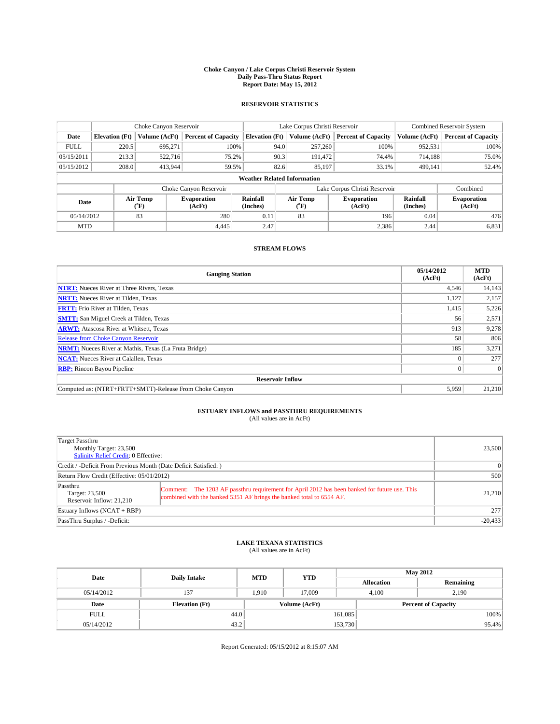#### **Choke Canyon / Lake Corpus Christi Reservoir System Daily Pass-Thru Status Report Report Date: May 15, 2012**

### **RESERVOIR STATISTICS**

|             | Choke Canyon Reservoir |                  |                              |                                    |      | Lake Corpus Christi Reservoir                    | <b>Combined Reservoir System</b> |                      |                              |
|-------------|------------------------|------------------|------------------------------|------------------------------------|------|--------------------------------------------------|----------------------------------|----------------------|------------------------------|
| Date        | <b>Elevation</b> (Ft)  | Volume (AcFt)    | <b>Percent of Capacity</b>   | <b>Elevation (Ft)</b>              |      | Volume (AcFt)                                    | <b>Percent of Capacity</b>       | Volume (AcFt)        | <b>Percent of Capacity</b>   |
| <b>FULL</b> | 220.5                  | 695,271          | 100%                         |                                    | 94.0 | 257,260                                          | 100%                             | 952,531              | 100%                         |
| 05/15/2011  | 213.3                  | 522,716          | 75.2%                        |                                    | 90.3 | 191.472                                          | 74.4%                            | 714,188              | 75.0%                        |
| 05/15/2012  | 208.0                  | 413,944          | 59.5%                        |                                    | 82.6 | 85,197                                           | 33.1%                            | 499.141              | 52.4%                        |
|             |                        |                  |                              | <b>Weather Related Information</b> |      |                                                  |                                  |                      |                              |
|             |                        |                  | Choke Canyon Reservoir       |                                    |      |                                                  | Lake Corpus Christi Reservoir    |                      | Combined                     |
| Date        |                        | Air Temp<br>(°F) | <b>Evaporation</b><br>(AcFt) | Rainfall<br>(Inches)               |      | Air Temp<br><b>Evaporation</b><br>(AcFt)<br>(°F) |                                  | Rainfall<br>(Inches) | <b>Evaporation</b><br>(AcFt) |
| 05/14/2012  |                        | 83               | 280                          | 0.11                               |      | 83                                               | 196                              | 0.04                 | 476                          |
| <b>MTD</b>  |                        |                  | 4.445                        | 2.47                               |      |                                                  | 2,386                            | 2.44                 | 6,831                        |

### **STREAM FLOWS**

| <b>Gauging Station</b>                                       | 05/14/2012<br>(AcFt) | <b>MTD</b><br>(AcFt) |  |  |  |
|--------------------------------------------------------------|----------------------|----------------------|--|--|--|
| <b>NTRT:</b> Nueces River at Three Rivers, Texas             | 4,546                | 14,143               |  |  |  |
| <b>NRTT:</b> Nueces River at Tilden, Texas                   | 1,127                | 2,157                |  |  |  |
| <b>FRTT:</b> Frio River at Tilden, Texas                     | 1,415                | 5,226                |  |  |  |
| <b>SMTT:</b> San Miguel Creek at Tilden, Texas               | 56                   | 2,571                |  |  |  |
| <b>ARWT:</b> Atascosa River at Whitsett, Texas               | 913                  | 9,278                |  |  |  |
| <b>Release from Choke Canyon Reservoir</b>                   | 58                   | 806                  |  |  |  |
| <b>NRMT:</b> Nueces River at Mathis, Texas (La Fruta Bridge) | 185                  | 3,271                |  |  |  |
| <b>NCAT:</b> Nueces River at Calallen, Texas                 |                      | 277                  |  |  |  |
| <b>RBP:</b> Rincon Bayou Pipeline                            | $\Omega$             | $\Omega$             |  |  |  |
| <b>Reservoir Inflow</b>                                      |                      |                      |  |  |  |
| Computed as: (NTRT+FRTT+SMTT)-Release From Choke Canyon      | 5,959                | 21,210               |  |  |  |

# **ESTUARY INFLOWS and PASSTHRU REQUIREMENTS**<br>(All values are in AcFt)

| Target Passthru<br>Monthly Target: 23,500<br>Salinity Relief Credit: 0 Effective: |                                                                                                                                                                       | 23,500    |  |  |
|-----------------------------------------------------------------------------------|-----------------------------------------------------------------------------------------------------------------------------------------------------------------------|-----------|--|--|
| Credit / -Deficit From Previous Month (Date Deficit Satisfied: )                  |                                                                                                                                                                       | $\Omega$  |  |  |
| Return Flow Credit (Effective: 05/01/2012)                                        |                                                                                                                                                                       |           |  |  |
| Passthru<br>Target: 23,500<br>Reservoir Inflow: 21.210                            | Comment: The 1203 AF passthru requirement for April 2012 has been banked for future use. This<br>combined with the banked 5351 AF brings the banked total to 6554 AF. | 21,210    |  |  |
| Estuary Inflows $(NCAT + RBP)$                                                    | 277                                                                                                                                                                   |           |  |  |
| PassThru Surplus / -Deficit:                                                      |                                                                                                                                                                       | $-20,433$ |  |  |

# **LAKE TEXANA STATISTICS** (All values are in AcFt)

| Date        | <b>Daily Intake</b>   | <b>MTD</b> | <b>YTD</b>    | <b>May 2012</b>   |                            |           |  |
|-------------|-----------------------|------------|---------------|-------------------|----------------------------|-----------|--|
|             |                       |            |               | <b>Allocation</b> |                            | Remaining |  |
| 05/14/2012  | 137                   | 1.910      | 17.009        |                   | 2,190<br>4.100             |           |  |
| Date        | <b>Elevation</b> (Ft) |            | Volume (AcFt) |                   | <b>Percent of Capacity</b> |           |  |
| <b>FULL</b> | 44.0                  |            |               | 161,085           |                            | 100%      |  |
| 05/14/2012  | 43.2                  |            |               | 153,730           |                            | 95.4%     |  |

Report Generated: 05/15/2012 at 8:15:07 AM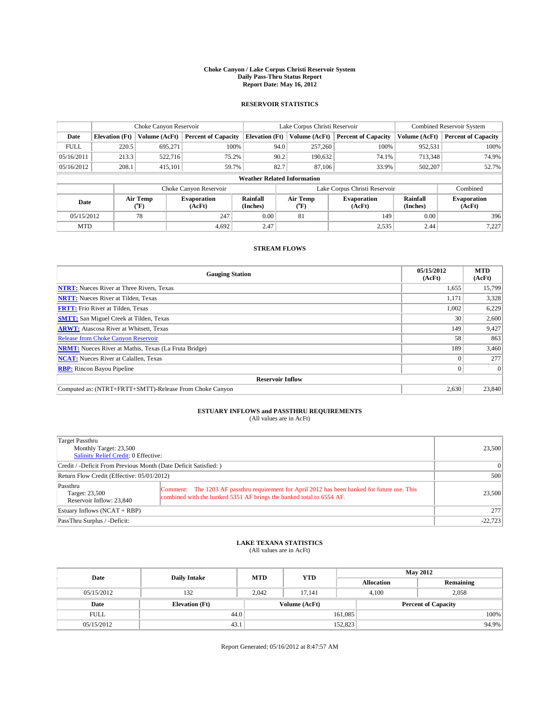#### **Choke Canyon / Lake Corpus Christi Reservoir System Daily Pass-Thru Status Report Report Date: May 16, 2012**

### **RESERVOIR STATISTICS**

|             | Choke Canyon Reservoir |                  |                              |                                    | Lake Corpus Christi Reservoir | <b>Combined Reservoir System</b> |               |                              |
|-------------|------------------------|------------------|------------------------------|------------------------------------|-------------------------------|----------------------------------|---------------|------------------------------|
| Date        | <b>Elevation</b> (Ft)  | Volume (AcFt)    | <b>Percent of Capacity</b>   | <b>Elevation (Ft)</b>              | Volume (AcFt)                 | <b>Percent of Capacity</b>       | Volume (AcFt) | <b>Percent of Capacity</b>   |
| <b>FULL</b> | 220.5                  | 695,271          | 100%                         | 94.0                               | 257,260                       | 100%                             | 952,531       | 100%                         |
| 05/16/2011  | 213.3                  | 522,716          | 75.2%                        | 90.2                               | 190,632                       | 74.1%                            | 713,348       | 74.9%                        |
| 05/16/2012  | 208.1                  | 415.101          | 59.7%                        | 82.7                               | 87,106                        | 33.9%                            | 502,207       | 52.7%                        |
|             |                        |                  |                              | <b>Weather Related Information</b> |                               |                                  |               |                              |
|             |                        |                  | Choke Canyon Reservoir       |                                    |                               | Lake Corpus Christi Reservoir    |               | Combined                     |
| Date        |                        | Air Temp<br>(°F) | <b>Evaporation</b><br>(AcFt) | Rainfall<br>(Inches)               | Air Temp<br>(°F)              | <b>Evaporation</b><br>(AcFt)     |               | <b>Evaporation</b><br>(AcFt) |
| 05/15/2012  |                        | 78               | 247                          | 0.00                               | 81                            | 149                              | 0.00          | 396                          |
| <b>MTD</b>  |                        |                  | 4.692                        | 2.47                               |                               | 2,535                            | 2.44          | 7,227                        |

### **STREAM FLOWS**

| <b>Gauging Station</b>                                       | 05/15/2012<br>(AcFt) | <b>MTD</b><br>(AcFt) |  |  |  |  |
|--------------------------------------------------------------|----------------------|----------------------|--|--|--|--|
| <b>NTRT:</b> Nueces River at Three Rivers, Texas             | 1,655                | 15,799               |  |  |  |  |
| <b>NRTT:</b> Nueces River at Tilden, Texas                   | 1,171                | 3,328                |  |  |  |  |
| <b>FRTT:</b> Frio River at Tilden, Texas                     | 1,002                | 6,229                |  |  |  |  |
| <b>SMTT:</b> San Miguel Creek at Tilden, Texas               | 30                   | 2,600                |  |  |  |  |
| <b>ARWT:</b> Atascosa River at Whitsett, Texas               | 149                  | 9,427                |  |  |  |  |
| <b>Release from Choke Canyon Reservoir</b>                   | 58                   | 863                  |  |  |  |  |
| <b>NRMT:</b> Nueces River at Mathis, Texas (La Fruta Bridge) | 189                  | 3,460                |  |  |  |  |
| <b>NCAT:</b> Nueces River at Calallen, Texas                 |                      | 277                  |  |  |  |  |
| <b>RBP:</b> Rincon Bayou Pipeline                            | $\Omega$             | $\Omega$             |  |  |  |  |
| <b>Reservoir Inflow</b>                                      |                      |                      |  |  |  |  |
| Computed as: (NTRT+FRTT+SMTT)-Release From Choke Canyon      | 2,630                | 23,840               |  |  |  |  |

# **ESTUARY INFLOWS and PASSTHRU REQUIREMENTS**<br>(All values are in AcFt)

| Target Passthru<br>Monthly Target: 23,500<br>Salinity Relief Credit: 0 Effective: |                                                                                                                                                                       |        |  |  |  |
|-----------------------------------------------------------------------------------|-----------------------------------------------------------------------------------------------------------------------------------------------------------------------|--------|--|--|--|
| Credit / -Deficit From Previous Month (Date Deficit Satisfied: )                  | $\Omega$                                                                                                                                                              |        |  |  |  |
| Return Flow Credit (Effective: 05/01/2012)                                        |                                                                                                                                                                       |        |  |  |  |
| Passthru<br>Target: 23,500<br>Reservoir Inflow: 23,840                            | Comment: The 1203 AF passthru requirement for April 2012 has been banked for future use. This<br>combined with the banked 5351 AF brings the banked total to 6554 AF. | 23,500 |  |  |  |
| Estuary Inflows $(NCAT + RBP)$                                                    | 277                                                                                                                                                                   |        |  |  |  |
| PassThru Surplus / -Deficit:                                                      |                                                                                                                                                                       |        |  |  |  |

# **LAKE TEXANA STATISTICS** (All values are in AcFt)

| Date        | <b>Daily Intake</b>   | <b>MTD</b> | <b>YTD</b>    | <b>May 2012</b>   |                |                            |  |
|-------------|-----------------------|------------|---------------|-------------------|----------------|----------------------------|--|
|             |                       |            |               | <b>Allocation</b> |                | Remaining                  |  |
| 05/15/2012  | 132                   | 2.042      | 17.141        |                   | 2,058<br>4.100 |                            |  |
| Date        | <b>Elevation</b> (Ft) |            | Volume (AcFt) |                   |                | <b>Percent of Capacity</b> |  |
| <b>FULL</b> | 44.0                  |            |               | 161,085           |                | 100%                       |  |
| 05/15/2012  | 43.1                  |            |               | 152,823           |                | 94.9%                      |  |

Report Generated: 05/16/2012 at 8:47:57 AM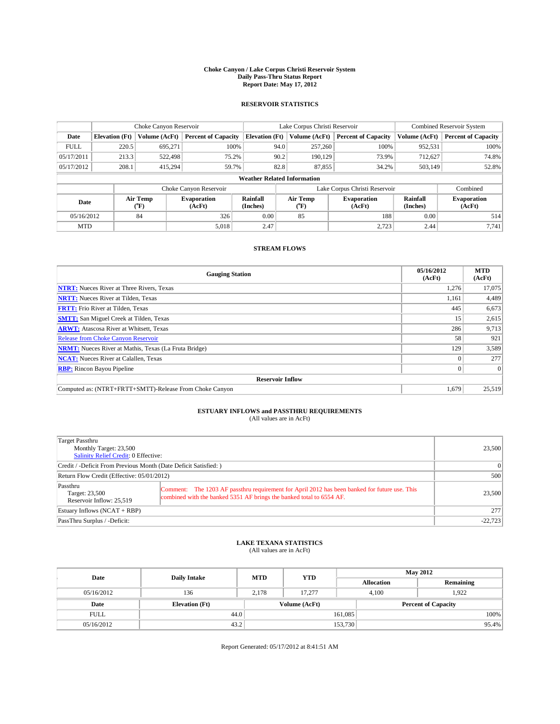#### **Choke Canyon / Lake Corpus Christi Reservoir System Daily Pass-Thru Status Report Report Date: May 17, 2012**

### **RESERVOIR STATISTICS**

|             | Choke Canyon Reservoir |                  |                              |                       | Lake Corpus Christi Reservoir      | <b>Combined Reservoir System</b> |                      |                              |
|-------------|------------------------|------------------|------------------------------|-----------------------|------------------------------------|----------------------------------|----------------------|------------------------------|
| Date        | <b>Elevation</b> (Ft)  | Volume (AcFt)    | <b>Percent of Capacity</b>   | <b>Elevation (Ft)</b> | Volume (AcFt)                      | <b>Percent of Capacity</b>       | Volume (AcFt)        | <b>Percent of Capacity</b>   |
| <b>FULL</b> | 220.5                  | 695,271          | 100%                         |                       | 94.0<br>257,260                    | 100%                             | 952,531              | 100%                         |
| 05/17/2011  | 213.3                  | 522,498          | 75.2%                        |                       | 90.2<br>190,129                    | 73.9%                            | 712,627              | 74.8%                        |
| 05/17/2012  | 208.1                  | 415.294          | 59.7%                        |                       | 82.8<br>87,855                     | 34.2%                            | 503,149              | 52.8%                        |
|             |                        |                  |                              |                       | <b>Weather Related Information</b> |                                  |                      |                              |
|             |                        |                  | Choke Canyon Reservoir       |                       |                                    | Lake Corpus Christi Reservoir    |                      | Combined                     |
| Date        |                        | Air Temp<br>(°F) | <b>Evaporation</b><br>(AcFt) | Rainfall<br>(Inches)  | Air Temp<br>("F)                   | <b>Evaporation</b><br>(AcFt)     | Rainfall<br>(Inches) | <b>Evaporation</b><br>(AcFt) |
| 05/16/2012  |                        | 84               | 326                          | 0.00                  | 85                                 | 188                              | 0.00                 | 514                          |
| <b>MTD</b>  |                        |                  | 5.018                        | 2.47                  |                                    | 2,723                            | 2.44                 | 7.741                        |

### **STREAM FLOWS**

| <b>Gauging Station</b>                                       | 05/16/2012<br>(AcFt) | <b>MTD</b><br>(AcFt) |  |  |  |  |
|--------------------------------------------------------------|----------------------|----------------------|--|--|--|--|
| <b>NTRT:</b> Nueces River at Three Rivers, Texas             | 1,276                | 17,075               |  |  |  |  |
| <b>NRTT:</b> Nueces River at Tilden, Texas                   | 1,161                | 4,489                |  |  |  |  |
| <b>FRTT:</b> Frio River at Tilden, Texas                     | 445                  | 6,673                |  |  |  |  |
| <b>SMTT:</b> San Miguel Creek at Tilden, Texas               | 15                   | 2,615                |  |  |  |  |
| <b>ARWT:</b> Atascosa River at Whitsett, Texas               | 286                  | 9,713                |  |  |  |  |
| <b>Release from Choke Canyon Reservoir</b>                   | 58                   | 921                  |  |  |  |  |
| <b>NRMT:</b> Nueces River at Mathis, Texas (La Fruta Bridge) | 129                  | 3,589                |  |  |  |  |
| <b>NCAT:</b> Nueces River at Calallen, Texas                 |                      | 277                  |  |  |  |  |
| <b>RBP:</b> Rincon Bayou Pipeline                            | $\Omega$             | $\Omega$             |  |  |  |  |
| <b>Reservoir Inflow</b>                                      |                      |                      |  |  |  |  |
| Computed as: (NTRT+FRTT+SMTT)-Release From Choke Canyon      | 1,679                | 25,519               |  |  |  |  |

# **ESTUARY INFLOWS and PASSTHRU REQUIREMENTS**<br>(All values are in AcFt)

| Target Passthru<br>Monthly Target: 23,500<br>Salinity Relief Credit: 0 Effective: | 23,500                                                                                                                                                                |        |  |  |  |
|-----------------------------------------------------------------------------------|-----------------------------------------------------------------------------------------------------------------------------------------------------------------------|--------|--|--|--|
| Credit / -Deficit From Previous Month (Date Deficit Satisfied: )                  | $\Omega$                                                                                                                                                              |        |  |  |  |
| Return Flow Credit (Effective: 05/01/2012)                                        |                                                                                                                                                                       |        |  |  |  |
| Passthru<br>Target: 23,500<br>Reservoir Inflow: 25.519                            | Comment: The 1203 AF passthru requirement for April 2012 has been banked for future use. This<br>combined with the banked 5351 AF brings the banked total to 6554 AF. | 23,500 |  |  |  |
| Estuary Inflows $(NCAT + RBP)$                                                    | 277                                                                                                                                                                   |        |  |  |  |
| PassThru Surplus / -Deficit:                                                      |                                                                                                                                                                       |        |  |  |  |

# **LAKE TEXANA STATISTICS** (All values are in AcFt)

| Date        | <b>Daily Intake</b>   | <b>MTD</b> | <b>YTD</b>    | <b>May 2012</b>   |                            |           |  |
|-------------|-----------------------|------------|---------------|-------------------|----------------------------|-----------|--|
|             |                       |            |               | <b>Allocation</b> |                            | Remaining |  |
| 05/16/2012  | 136                   | 2.178      | 17.277        |                   | 1.922<br>4.100             |           |  |
| Date        | <b>Elevation</b> (Ft) |            | Volume (AcFt) |                   | <b>Percent of Capacity</b> |           |  |
| <b>FULL</b> | 44.0                  |            |               | 161,085           |                            | 100%      |  |
| 05/16/2012  | 43.2                  |            |               | 153,730           |                            | 95.4%     |  |

Report Generated: 05/17/2012 at 8:41:51 AM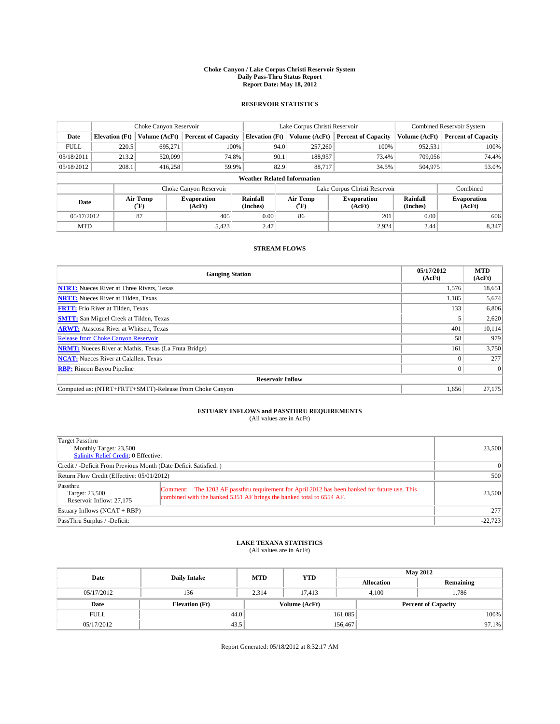#### **Choke Canyon / Lake Corpus Christi Reservoir System Daily Pass-Thru Status Report Report Date: May 18, 2012**

### **RESERVOIR STATISTICS**

|             | Choke Canyon Reservoir |                  |                              |                                    | Lake Corpus Christi Reservoir | <b>Combined Reservoir System</b> |                      |                              |
|-------------|------------------------|------------------|------------------------------|------------------------------------|-------------------------------|----------------------------------|----------------------|------------------------------|
| Date        | <b>Elevation</b> (Ft)  | Volume (AcFt)    | <b>Percent of Capacity</b>   | <b>Elevation (Ft)</b>              | Volume (AcFt)                 | <b>Percent of Capacity</b>       | Volume (AcFt)        | <b>Percent of Capacity</b>   |
| <b>FULL</b> | 220.5                  | 695,271          | 100%                         | 94.0                               | 257,260                       | 100%                             | 952,531              | 100%                         |
| 05/18/2011  | 213.2                  | 520,099          | 74.8%                        | 90.1                               | 188,957                       | 73.4%                            | 709,056              | 74.4%                        |
| 05/18/2012  | 208.1                  | 416,258          | 59.9%                        | 82.9                               | 88.717                        | 34.5%                            | 504,975              | 53.0%                        |
|             |                        |                  |                              | <b>Weather Related Information</b> |                               |                                  |                      |                              |
|             |                        |                  | Choke Canyon Reservoir       |                                    |                               | Lake Corpus Christi Reservoir    |                      | Combined                     |
| Date        |                        | Air Temp<br>(°F) | <b>Evaporation</b><br>(AcFt) | Rainfall<br>(Inches)               | Air Temp<br>(°F)              | <b>Evaporation</b><br>(AcFt)     | Rainfall<br>(Inches) | <b>Evaporation</b><br>(AcFt) |
| 05/17/2012  |                        | 87               | 405                          | 0.00                               | 86                            | 201                              | 0.00                 | 606                          |
| <b>MTD</b>  |                        |                  | 5,423                        | 2.47                               |                               | 2,924                            | 2.44                 | 8,347                        |

### **STREAM FLOWS**

| <b>Gauging Station</b>                                       | 05/17/2012<br>(AcFt) | <b>MTD</b><br>(AcFt) |  |  |  |  |
|--------------------------------------------------------------|----------------------|----------------------|--|--|--|--|
| <b>NTRT:</b> Nueces River at Three Rivers, Texas             | 1,576                | 18,651               |  |  |  |  |
| <b>NRTT:</b> Nueces River at Tilden, Texas                   | 1,185                | 5,674                |  |  |  |  |
| <b>FRTT:</b> Frio River at Tilden, Texas                     | 133                  | 6,806                |  |  |  |  |
| <b>SMTT:</b> San Miguel Creek at Tilden, Texas               |                      | 2,620                |  |  |  |  |
| <b>ARWT:</b> Atascosa River at Whitsett, Texas               | 401                  | 10,114               |  |  |  |  |
| <b>Release from Choke Canyon Reservoir</b>                   | 58                   | 979                  |  |  |  |  |
| <b>NRMT:</b> Nueces River at Mathis, Texas (La Fruta Bridge) | 161                  | 3,750                |  |  |  |  |
| <b>NCAT:</b> Nueces River at Calallen, Texas                 |                      | 277                  |  |  |  |  |
| <b>RBP:</b> Rincon Bayou Pipeline                            | $\Omega$             | $\Omega$             |  |  |  |  |
| <b>Reservoir Inflow</b>                                      |                      |                      |  |  |  |  |
| Computed as: (NTRT+FRTT+SMTT)-Release From Choke Canyon      | 1,656                | 27,175               |  |  |  |  |

# **ESTUARY INFLOWS and PASSTHRU REQUIREMENTS**<br>(All values are in AcFt)

| Target Passthru<br>Monthly Target: 23,500<br>Salinity Relief Credit: 0 Effective: | 23,500                                                                                                                                                                |        |  |  |  |
|-----------------------------------------------------------------------------------|-----------------------------------------------------------------------------------------------------------------------------------------------------------------------|--------|--|--|--|
| Credit / -Deficit From Previous Month (Date Deficit Satisfied: )                  | $\Omega$                                                                                                                                                              |        |  |  |  |
| Return Flow Credit (Effective: 05/01/2012)                                        |                                                                                                                                                                       |        |  |  |  |
| Passthru<br>Target: 23,500<br>Reservoir Inflow: 27.175                            | Comment: The 1203 AF passthru requirement for April 2012 has been banked for future use. This<br>combined with the banked 5351 AF brings the banked total to 6554 AF. | 23,500 |  |  |  |
| Estuary Inflows $(NCAT + RBP)$                                                    | 277                                                                                                                                                                   |        |  |  |  |
| PassThru Surplus / -Deficit:                                                      |                                                                                                                                                                       |        |  |  |  |

# **LAKE TEXANA STATISTICS** (All values are in AcFt)

| Date        | <b>Daily Intake</b>   | <b>MTD</b> | <b>YTD</b>    | <b>May 2012</b>            |                |           |  |
|-------------|-----------------------|------------|---------------|----------------------------|----------------|-----------|--|
|             |                       |            |               | <b>Allocation</b>          |                | Remaining |  |
| 05/17/2012  | 136                   | 2.314      | 17.413        |                            | 1,786<br>4.100 |           |  |
| Date        | <b>Elevation</b> (Ft) |            | Volume (AcFt) | <b>Percent of Capacity</b> |                |           |  |
| <b>FULL</b> | 44.0                  |            |               | 161,085                    |                | 100%      |  |
| 05/17/2012  | 43.5                  |            |               | 156,467                    |                | $97.1\%$  |  |

Report Generated: 05/18/2012 at 8:32:17 AM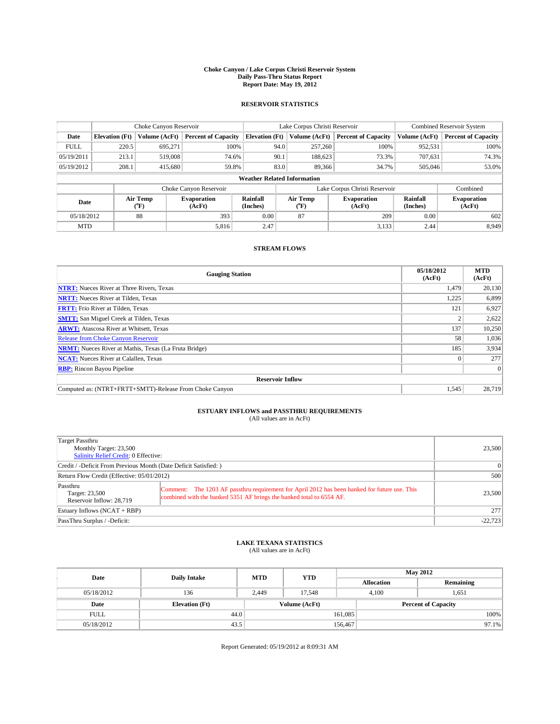#### **Choke Canyon / Lake Corpus Christi Reservoir System Daily Pass-Thru Status Report Report Date: May 19, 2012**

### **RESERVOIR STATISTICS**

|             |                                    | Choke Canyon Reservoir |                              |                       | Lake Corpus Christi Reservoir | <b>Combined Reservoir System</b> |               |                              |  |
|-------------|------------------------------------|------------------------|------------------------------|-----------------------|-------------------------------|----------------------------------|---------------|------------------------------|--|
| Date        | <b>Elevation</b> (Ft)              | Volume (AcFt)          | <b>Percent of Capacity</b>   | <b>Elevation (Ft)</b> | Volume (AcFt)                 | <b>Percent of Capacity</b>       | Volume (AcFt) | <b>Percent of Capacity</b>   |  |
| <b>FULL</b> | 220.5                              | 695,271                | 100%                         | 94.0                  | 257,260                       | 100%                             | 952,531       | 100%                         |  |
| 05/19/2011  | 213.1                              | 519,008                | 74.6%                        | 90.1                  | 188,623                       | 73.3%                            | 707,631       | 74.3%                        |  |
| 05/19/2012  | 208.1                              | 415.680                | 59.8%                        | 83.0                  | 89,366                        | 34.7%                            | 505,046       | 53.0%                        |  |
|             | <b>Weather Related Information</b> |                        |                              |                       |                               |                                  |               |                              |  |
|             |                                    |                        | Choke Canyon Reservoir       |                       |                               | Lake Corpus Christi Reservoir    |               | Combined                     |  |
| Date        | Air Temp<br>(°F)                   |                        | <b>Evaporation</b><br>(AcFt) | Rainfall<br>(Inches)  | Air Temp<br>(°F)              | <b>Evaporation</b><br>(AcFt)     |               | <b>Evaporation</b><br>(AcFt) |  |
| 05/18/2012  |                                    | 88                     | 393                          | 0.00                  | 87                            | 209                              | 0.00          | 602                          |  |
| <b>MTD</b>  |                                    |                        | 5,816                        | 2.47                  |                               | 3,133                            | 2.44          | 8,949                        |  |

### **STREAM FLOWS**

| <b>Gauging Station</b>                                       | 05/18/2012<br>(AcFt) | <b>MTD</b><br>(AcFt) |  |  |  |  |
|--------------------------------------------------------------|----------------------|----------------------|--|--|--|--|
| <b>NTRT:</b> Nueces River at Three Rivers, Texas             | 1,479                | 20,130               |  |  |  |  |
| <b>NRTT:</b> Nueces River at Tilden, Texas                   | 1,225                | 6,899                |  |  |  |  |
| <b>FRTT:</b> Frio River at Tilden, Texas                     | 121                  | 6,927                |  |  |  |  |
| <b>SMTT:</b> San Miguel Creek at Tilden, Texas               | Δ                    | 2,622                |  |  |  |  |
| <b>ARWT:</b> Atascosa River at Whitsett, Texas               | 137                  | 10,250               |  |  |  |  |
| <b>Release from Choke Canyon Reservoir</b>                   | 58                   | 1,036                |  |  |  |  |
| <b>NRMT:</b> Nueces River at Mathis, Texas (La Fruta Bridge) | 185                  | 3,934                |  |  |  |  |
| <b>NCAT:</b> Nueces River at Calallen, Texas                 |                      | 277                  |  |  |  |  |
| <b>RBP:</b> Rincon Bayou Pipeline                            |                      | $\Omega$             |  |  |  |  |
| <b>Reservoir Inflow</b>                                      |                      |                      |  |  |  |  |
| Computed as: (NTRT+FRTT+SMTT)-Release From Choke Canyon      | 1,545                | 28,719               |  |  |  |  |

# **ESTUARY INFLOWS and PASSTHRU REQUIREMENTS**<br>(All values are in AcFt)

| Target Passthru<br>Monthly Target: 23,500<br>Salinity Relief Credit: 0 Effective: |                                                                                                                                                                       |        |  |  |
|-----------------------------------------------------------------------------------|-----------------------------------------------------------------------------------------------------------------------------------------------------------------------|--------|--|--|
| Credit / -Deficit From Previous Month (Date Deficit Satisfied: )                  | $\Omega$                                                                                                                                                              |        |  |  |
| Return Flow Credit (Effective: 05/01/2012)                                        | 500                                                                                                                                                                   |        |  |  |
| Passthru<br>Target: 23,500<br>Reservoir Inflow: 28.719                            | Comment: The 1203 AF passthru requirement for April 2012 has been banked for future use. This<br>combined with the banked 5351 AF brings the banked total to 6554 AF. | 23,500 |  |  |
| Estuary Inflows $(NCAT + RBP)$                                                    | 277                                                                                                                                                                   |        |  |  |
| PassThru Surplus / -Deficit:                                                      | $-22,723$                                                                                                                                                             |        |  |  |

## **LAKE TEXANA STATISTICS** (All values are in AcFt)

| Date        | <b>Daily Intake</b>   | <b>MTD</b> | <b>YTD</b>    | <b>May 2012</b>   |                            |           |  |
|-------------|-----------------------|------------|---------------|-------------------|----------------------------|-----------|--|
|             |                       |            |               | <b>Allocation</b> |                            | Remaining |  |
| 05/18/2012  | 136                   | 2.449      | 17.548        |                   | 4.100<br>1,651             |           |  |
| Date        | <b>Elevation</b> (Ft) |            | Volume (AcFt) |                   | <b>Percent of Capacity</b> |           |  |
| <b>FULL</b> | 44.0                  |            |               | 161,085           |                            | 100%      |  |
| 05/18/2012  | 43.5                  |            |               | 156,467           |                            | $97.1\%$  |  |

Report Generated: 05/19/2012 at 8:09:31 AM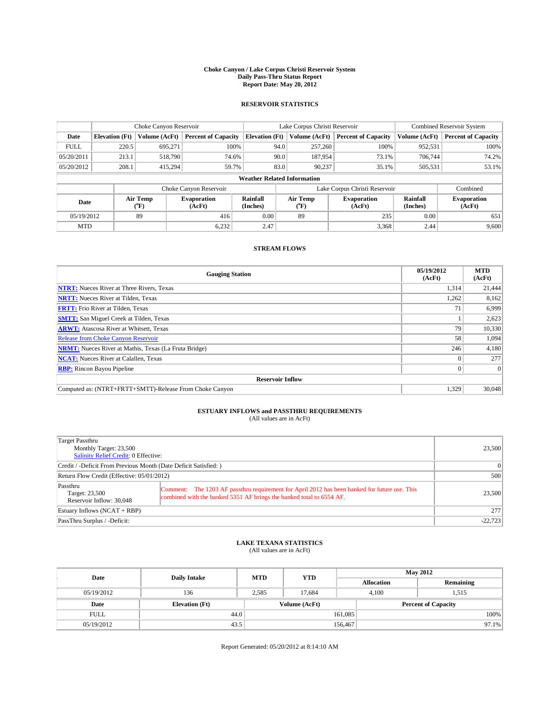#### **Choke Canyon / Lake Corpus Christi Reservoir System Daily Pass-Thru Status Report Report Date: May 20, 2012**

### **RESERVOIR STATISTICS**

|             |                                    | Choke Canyon Reservoir |                              |                       | Lake Corpus Christi Reservoir | <b>Combined Reservoir System</b> |                      |                              |  |  |
|-------------|------------------------------------|------------------------|------------------------------|-----------------------|-------------------------------|----------------------------------|----------------------|------------------------------|--|--|
| Date        | <b>Elevation</b> (Ft)              | Volume (AcFt)          | <b>Percent of Capacity</b>   | <b>Elevation (Ft)</b> | Volume (AcFt)                 | <b>Percent of Capacity</b>       | Volume (AcFt)        | <b>Percent of Capacity</b>   |  |  |
| <b>FULL</b> | 220.5                              | 695,271                | 100%                         | 94.0                  | 257,260                       | 100%                             | 952,531              | 100%                         |  |  |
| 05/20/2011  | 213.1                              | 518,790                | 74.6%                        | 90.0                  | 187,954                       | 73.1%                            | 706,744              | 74.2%                        |  |  |
| 05/20/2012  | 208.1                              | 415,294                | 59.7%                        | 83.0                  | 90.237                        | 35.1%                            | 505,531              | 53.1%                        |  |  |
|             | <b>Weather Related Information</b> |                        |                              |                       |                               |                                  |                      |                              |  |  |
|             |                                    |                        | Choke Canyon Reservoir       |                       |                               | Lake Corpus Christi Reservoir    |                      | Combined                     |  |  |
| Date        |                                    | Air Temp<br>(°F)       | <b>Evaporation</b><br>(AcFt) | Rainfall<br>(Inches)  | Air Temp<br>(°F)              | <b>Evaporation</b><br>(AcFt)     | Rainfall<br>(Inches) | <b>Evaporation</b><br>(AcFt) |  |  |
| 05/19/2012  |                                    | 89                     | 416                          | 0.00                  | 89                            | 235                              | 0.00                 | 651                          |  |  |
| <b>MTD</b>  |                                    |                        | 6,232                        | 2.47                  |                               | 3,368                            | 2.44                 | 9,600                        |  |  |

### **STREAM FLOWS**

| <b>Gauging Station</b>                                       | 05/19/2012<br>(AcFt) | <b>MTD</b><br>(AcFt) |  |  |  |  |
|--------------------------------------------------------------|----------------------|----------------------|--|--|--|--|
| <b>NTRT:</b> Nueces River at Three Rivers, Texas             | 1,314                | 21,444               |  |  |  |  |
| <b>NRTT:</b> Nueces River at Tilden, Texas                   | 1,262                | 8,162                |  |  |  |  |
| <b>FRTT:</b> Frio River at Tilden, Texas                     | 71                   | 6,999                |  |  |  |  |
| <b>SMTT:</b> San Miguel Creek at Tilden, Texas               |                      | 2,623                |  |  |  |  |
| <b>ARWT:</b> Atascosa River at Whitsett, Texas               | 79                   | 10,330               |  |  |  |  |
| <b>Release from Choke Canyon Reservoir</b>                   | 58                   | 1,094                |  |  |  |  |
| <b>NRMT:</b> Nueces River at Mathis, Texas (La Fruta Bridge) | 246                  | 4,180                |  |  |  |  |
| <b>NCAT:</b> Nueces River at Calallen, Texas                 |                      | 277                  |  |  |  |  |
| <b>RBP:</b> Rincon Bayou Pipeline                            |                      | $\Omega$             |  |  |  |  |
| <b>Reservoir Inflow</b>                                      |                      |                      |  |  |  |  |
| Computed as: (NTRT+FRTT+SMTT)-Release From Choke Canyon      | 1,329                | 30,048               |  |  |  |  |

# **ESTUARY INFLOWS and PASSTHRU REQUIREMENTS**<br>(All values are in AcFt)

| Target Passthru<br>Monthly Target: 23,500<br>Salinity Relief Credit: 0 Effective: |                                                                                                                                                                       |        |  |  |
|-----------------------------------------------------------------------------------|-----------------------------------------------------------------------------------------------------------------------------------------------------------------------|--------|--|--|
| Credit / -Deficit From Previous Month (Date Deficit Satisfied: )                  | 0                                                                                                                                                                     |        |  |  |
| Return Flow Credit (Effective: 05/01/2012)                                        | 500                                                                                                                                                                   |        |  |  |
| Passthru<br>Target: 23,500<br>Reservoir Inflow: 30.048                            | Comment: The 1203 AF passthru requirement for April 2012 has been banked for future use. This<br>combined with the banked 5351 AF brings the banked total to 6554 AF. | 23,500 |  |  |
| Estuary Inflows $(NCAT + RBP)$                                                    | 277                                                                                                                                                                   |        |  |  |
| PassThru Surplus / -Deficit:                                                      | $-22,723$                                                                                                                                                             |        |  |  |

# **LAKE TEXANA STATISTICS** (All values are in AcFt)

| Date        | <b>Daily Intake</b>   | <b>MTD</b> | <b>YTD</b>    | <b>May 2012</b>   |                            |           |  |
|-------------|-----------------------|------------|---------------|-------------------|----------------------------|-----------|--|
|             |                       |            |               | <b>Allocation</b> |                            | Remaining |  |
| 05/19/2012  | 136                   | 2.585      | 17.684        |                   | 4.100<br>1,515             |           |  |
| Date        | <b>Elevation</b> (Ft) |            | Volume (AcFt) |                   | <b>Percent of Capacity</b> |           |  |
| <b>FULL</b> | 44.0                  |            |               | 161,085           |                            | 100%      |  |
| 05/19/2012  | 43.5                  |            |               | 156,467           |                            | $97.1\%$  |  |

Report Generated: 05/20/2012 at 8:14:10 AM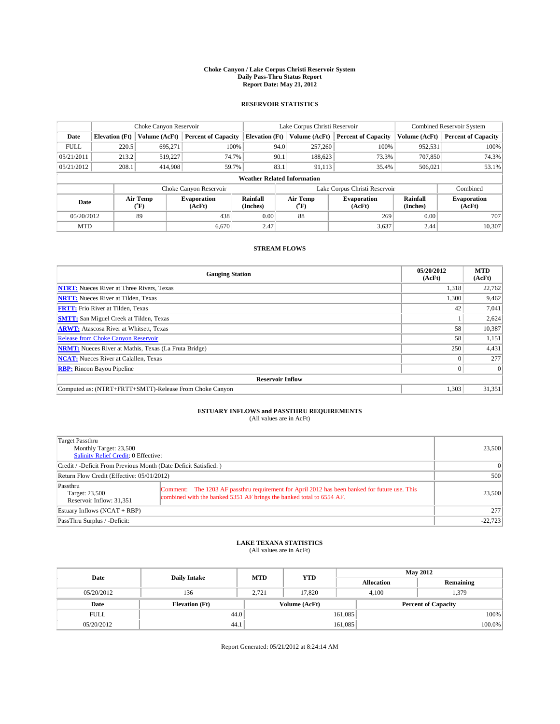#### **Choke Canyon / Lake Corpus Christi Reservoir System Daily Pass-Thru Status Report Report Date: May 21, 2012**

### **RESERVOIR STATISTICS**

|             |                                    | Choke Canyon Reservoir |                              |                       | Lake Corpus Christi Reservoir | <b>Combined Reservoir System</b> |                      |                              |  |  |
|-------------|------------------------------------|------------------------|------------------------------|-----------------------|-------------------------------|----------------------------------|----------------------|------------------------------|--|--|
| Date        | <b>Elevation</b> (Ft)              | Volume (AcFt)          | <b>Percent of Capacity</b>   | <b>Elevation (Ft)</b> | Volume (AcFt)                 | <b>Percent of Capacity</b>       | Volume (AcFt)        | Percent of Capacity          |  |  |
| <b>FULL</b> | 220.5                              | 695,271                | 100%                         |                       | 94.0<br>257,260               | 100%                             | 952,531              | 100%                         |  |  |
| 05/21/2011  | 213.2                              | 519,227                | 74.7%                        | 90.1                  | 188,623                       | 73.3%                            | 707,850              | 74.3%                        |  |  |
| 05/21/2012  | 208.1                              | 414,908                | 59.7%                        | 83.1                  | 91,113                        | 35.4%                            | 506.021              | 53.1%                        |  |  |
|             | <b>Weather Related Information</b> |                        |                              |                       |                               |                                  |                      |                              |  |  |
|             |                                    |                        | Choke Canyon Reservoir       |                       |                               | Lake Corpus Christi Reservoir    |                      | Combined                     |  |  |
| Date        |                                    | Air Temp<br>(°F)       | <b>Evaporation</b><br>(AcFt) | Rainfall<br>(Inches)  | Air Temp<br>("F)              | <b>Evaporation</b><br>(AcFt)     | Rainfall<br>(Inches) | <b>Evaporation</b><br>(AcFt) |  |  |
| 05/20/2012  |                                    | 89                     | 0.00<br>438<br>88            |                       |                               | 0.00<br>269                      |                      |                              |  |  |
| <b>MTD</b>  |                                    |                        | 6.670                        | 2.47                  |                               | 3,637                            | 2.44                 | 10,307                       |  |  |

### **STREAM FLOWS**

| <b>Gauging Station</b>                                       | 05/20/2012<br>(AcFt) | <b>MTD</b><br>(AcFt) |  |  |  |  |
|--------------------------------------------------------------|----------------------|----------------------|--|--|--|--|
| <b>NTRT:</b> Nueces River at Three Rivers, Texas             | 1,318                | 22,762               |  |  |  |  |
| <b>NRTT:</b> Nueces River at Tilden, Texas                   | 1,300                | 9,462                |  |  |  |  |
| <b>FRTT:</b> Frio River at Tilden, Texas                     | 42                   | 7,041                |  |  |  |  |
| <b>SMTT:</b> San Miguel Creek at Tilden, Texas               |                      | 2,624                |  |  |  |  |
| <b>ARWT:</b> Atascosa River at Whitsett, Texas               | 58                   | 10,387               |  |  |  |  |
| <b>Release from Choke Canyon Reservoir</b>                   | 58                   | 1,151                |  |  |  |  |
| <b>NRMT:</b> Nueces River at Mathis, Texas (La Fruta Bridge) | 250                  | 4,431                |  |  |  |  |
| <b>NCAT:</b> Nueces River at Calallen, Texas                 |                      | 277                  |  |  |  |  |
| <b>RBP:</b> Rincon Bayou Pipeline                            | $\Omega$             | $\Omega$             |  |  |  |  |
| <b>Reservoir Inflow</b>                                      |                      |                      |  |  |  |  |
| Computed as: (NTRT+FRTT+SMTT)-Release From Choke Canyon      | 1,303                | 31,351               |  |  |  |  |

# **ESTUARY INFLOWS and PASSTHRU REQUIREMENTS**<br>(All values are in AcFt)

| Target Passthru<br>Monthly Target: 23,500<br>Salinity Relief Credit: 0 Effective: |                                                                                                                                                                       |        |  |  |
|-----------------------------------------------------------------------------------|-----------------------------------------------------------------------------------------------------------------------------------------------------------------------|--------|--|--|
| Credit / -Deficit From Previous Month (Date Deficit Satisfied: )                  | $\Omega$                                                                                                                                                              |        |  |  |
| Return Flow Credit (Effective: 05/01/2012)                                        |                                                                                                                                                                       |        |  |  |
| Passthru<br>Target: 23,500<br>Reservoir Inflow: 31.351                            | Comment: The 1203 AF passthru requirement for April 2012 has been banked for future use. This<br>combined with the banked 5351 AF brings the banked total to 6554 AF. | 23,500 |  |  |
| Estuary Inflows $(NCAT + RBP)$                                                    | 277                                                                                                                                                                   |        |  |  |
| PassThru Surplus / -Deficit:                                                      | $-22,723$                                                                                                                                                             |        |  |  |

# **LAKE TEXANA STATISTICS** (All values are in AcFt)

| Date        | <b>Daily Intake</b>   | <b>MTD</b> | <b>YTD</b>    | <b>May 2012</b>   |                            |           |  |
|-------------|-----------------------|------------|---------------|-------------------|----------------------------|-----------|--|
|             |                       |            |               | <b>Allocation</b> |                            | Remaining |  |
| 05/20/2012  | 136                   | 2.721      | 17.820        |                   | 1,379<br>4.100             |           |  |
| Date        | <b>Elevation</b> (Ft) |            | Volume (AcFt) |                   | <b>Percent of Capacity</b> |           |  |
| <b>FULL</b> | 44.0                  |            |               | 161,085           |                            | 100%      |  |
| 05/20/2012  | 44.1                  |            |               | 161,085           |                            | $100.0\%$ |  |

Report Generated: 05/21/2012 at 8:24:14 AM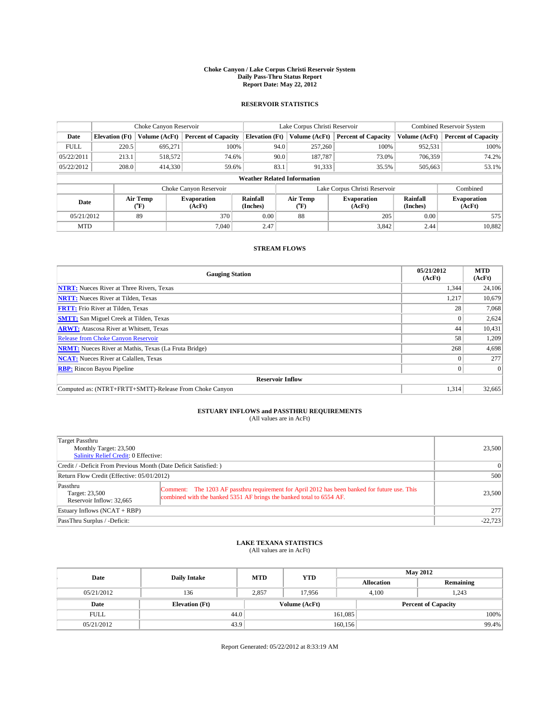#### **Choke Canyon / Lake Corpus Christi Reservoir System Daily Pass-Thru Status Report Report Date: May 22, 2012**

### **RESERVOIR STATISTICS**

|             |                       | Choke Canyon Reservoir |                              |                                    | Lake Corpus Christi Reservoir | <b>Combined Reservoir System</b> |                      |                              |
|-------------|-----------------------|------------------------|------------------------------|------------------------------------|-------------------------------|----------------------------------|----------------------|------------------------------|
| Date        | <b>Elevation</b> (Ft) | Volume (AcFt)          | <b>Percent of Capacity</b>   | <b>Elevation (Ft)</b>              | Volume (AcFt)                 | <b>Percent of Capacity</b>       | Volume (AcFt)        | <b>Percent of Capacity</b>   |
| <b>FULL</b> | 220.5                 | 695,271                | 100%                         | 94.0                               | 257,260                       | 100%                             | 952,531              | 100%                         |
| 05/22/2011  | 213.1                 | 518,572                | 74.6%                        | 90.0                               | 187,787                       | 73.0%                            | 706,359              | 74.2%                        |
| 05/22/2012  | 208.0                 | 414,330                | 59.6%                        | 83.1                               | 91,333                        | 35.5%                            | 505,663              | 53.1%                        |
|             |                       |                        |                              | <b>Weather Related Information</b> |                               |                                  |                      |                              |
|             |                       |                        | Choke Canyon Reservoir       |                                    |                               | Lake Corpus Christi Reservoir    |                      | Combined                     |
| Date        |                       | Air Temp<br>(°F)       | <b>Evaporation</b><br>(AcFt) | Rainfall<br>(Inches)               | Air Temp<br>(°F)              | <b>Evaporation</b><br>(AcFt)     | Rainfall<br>(Inches) | <b>Evaporation</b><br>(AcFt) |
| 05/21/2012  |                       | 89                     | 370                          | 0.00                               | 88                            | 205                              | 0.00                 | 575                          |
| <b>MTD</b>  |                       |                        | 7,040                        | 2.47                               |                               | 3,842                            | 2.44                 | 10,882                       |

### **STREAM FLOWS**

| <b>Gauging Station</b>                                       | 05/21/2012<br>(AcFt) | <b>MTD</b><br>(AcFt) |  |  |  |  |
|--------------------------------------------------------------|----------------------|----------------------|--|--|--|--|
| <b>NTRT:</b> Nueces River at Three Rivers, Texas             | 1,344                | 24,106               |  |  |  |  |
| <b>NRTT:</b> Nueces River at Tilden, Texas                   | 1,217                | 10,679               |  |  |  |  |
| <b>FRTT:</b> Frio River at Tilden, Texas                     | 28                   | 7,068                |  |  |  |  |
| <b>SMTT:</b> San Miguel Creek at Tilden, Texas               |                      | 2,624                |  |  |  |  |
| <b>ARWT:</b> Atascosa River at Whitsett, Texas               | 44                   | 10,431               |  |  |  |  |
| <b>Release from Choke Canyon Reservoir</b>                   | 58                   | 1,209                |  |  |  |  |
| <b>NRMT:</b> Nueces River at Mathis, Texas (La Fruta Bridge) | 268                  | 4,698                |  |  |  |  |
| <b>NCAT:</b> Nueces River at Calallen, Texas                 |                      | 277                  |  |  |  |  |
| <b>RBP:</b> Rincon Bayou Pipeline                            | $\Omega$             | $\Omega$             |  |  |  |  |
| <b>Reservoir Inflow</b>                                      |                      |                      |  |  |  |  |
| Computed as: (NTRT+FRTT+SMTT)-Release From Choke Canyon      | 1,314                | 32,665               |  |  |  |  |

# **ESTUARY INFLOWS and PASSTHRU REQUIREMENTS**<br>(All values are in AcFt)

| Target Passthru<br>Monthly Target: 23,500<br>Salinity Relief Credit: 0 Effective: |                                                                                                                                                                       |        |  |  |
|-----------------------------------------------------------------------------------|-----------------------------------------------------------------------------------------------------------------------------------------------------------------------|--------|--|--|
| Credit / -Deficit From Previous Month (Date Deficit Satisfied: )                  | $\Omega$                                                                                                                                                              |        |  |  |
| Return Flow Credit (Effective: 05/01/2012)                                        |                                                                                                                                                                       |        |  |  |
| Passthru<br>Target: 23,500<br>Reservoir Inflow: 32.665                            | Comment: The 1203 AF passthru requirement for April 2012 has been banked for future use. This<br>combined with the banked 5351 AF brings the banked total to 6554 AF. | 23,500 |  |  |
| Estuary Inflows $(NCAT + RBP)$                                                    | 277                                                                                                                                                                   |        |  |  |
| PassThru Surplus / -Deficit:                                                      | $-22,723$                                                                                                                                                             |        |  |  |

# **LAKE TEXANA STATISTICS** (All values are in AcFt)

| Date        | <b>Daily Intake</b>   | <b>MTD</b> | <b>YTD</b>    | <b>May 2012</b>   |                            |           |  |
|-------------|-----------------------|------------|---------------|-------------------|----------------------------|-----------|--|
|             |                       |            |               | <b>Allocation</b> |                            | Remaining |  |
| 05/21/2012  | 136                   | 2.857      | 17.956        |                   | 1,243<br>4.100             |           |  |
| Date        | <b>Elevation</b> (Ft) |            | Volume (AcFt) |                   | <b>Percent of Capacity</b> |           |  |
| <b>FULL</b> | 44.0                  |            |               | 161,085           |                            | 100%      |  |
| 05/21/2012  | 43.9                  |            |               | 160, 156          |                            | 99.4%     |  |

Report Generated: 05/22/2012 at 8:33:19 AM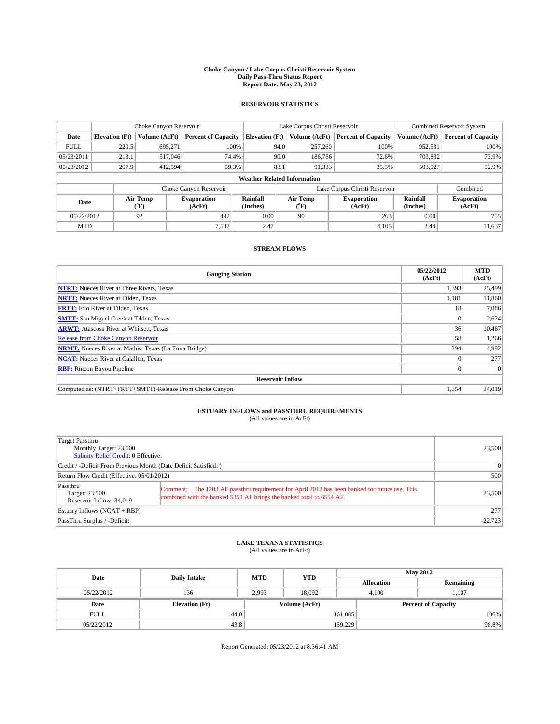#### **Choke Canyon / Lake Corpus Christi Reservoir System Daily Pass-Thru Status Report Report Date: May 23, 2012**

### **RESERVOIR STATISTICS**

|             |                                    | Choke Canyon Reservoir |                              |                       | Lake Corpus Christi Reservoir | Combined Reservoir System     |                      |                              |  |
|-------------|------------------------------------|------------------------|------------------------------|-----------------------|-------------------------------|-------------------------------|----------------------|------------------------------|--|
| Date        | <b>Elevation</b> (Ft)              | Volume (AcFt)          | <b>Percent of Capacity</b>   | <b>Elevation (Ft)</b> | Volume (AcFt)                 | <b>Percent of Capacity</b>    | Volume (AcFt)        | <b>Percent of Capacity</b>   |  |
| <b>FULL</b> | 220.5                              | 695.271                | 100%                         | 94.0                  | 257,260                       | 100%                          | 952,531              | 100%                         |  |
| 05/23/2011  | 213.1                              | 517,046                | 74.4%                        | 90.0                  | 186,786                       | 72.6%                         | 703,832              | 73.9%                        |  |
| 05/23/2012  | 207.9                              | 412.594                | 59.3%                        | 83.1                  | 91,333                        | 35.5%                         | 503,927              | 52.9%                        |  |
|             | <b>Weather Related Information</b> |                        |                              |                       |                               |                               |                      |                              |  |
|             |                                    |                        | Choke Canyon Reservoir       |                       |                               | Lake Corpus Christi Reservoir |                      | Combined                     |  |
| Date        |                                    | Air Temp<br>(°F)       | <b>Evaporation</b><br>(AcFt) | Rainfall<br>(Inches)  | Air Temp<br>(°F)              | <b>Evaporation</b><br>(AcFt)  | Rainfall<br>(Inches) | <b>Evaporation</b><br>(AcFt) |  |
| 05/22/2012  |                                    | 92                     | 492                          | 0.00                  | 90                            | 263                           | 0.00                 | 755                          |  |
| <b>MTD</b>  |                                    |                        | 7.532                        | 2.47                  |                               | 4.105                         | 2.44                 | 11,637                       |  |

### **STREAM FLOWS**

| <b>Gauging Station</b>                                       | 05/22/2012<br>(AcFt) | <b>MTD</b><br>(AcFt) |  |  |  |  |
|--------------------------------------------------------------|----------------------|----------------------|--|--|--|--|
| <b>NTRT:</b> Nueces River at Three Rivers, Texas             | 1,393                | 25,499               |  |  |  |  |
| <b>NRTT:</b> Nueces River at Tilden, Texas                   | 1,181                | 11,860               |  |  |  |  |
| <b>FRTT:</b> Frio River at Tilden, Texas                     | 18                   | 7,086                |  |  |  |  |
| <b>SMTT:</b> San Miguel Creek at Tilden, Texas               |                      | 2,624                |  |  |  |  |
| <b>ARWT:</b> Atascosa River at Whitsett, Texas               | 36                   | 10,467               |  |  |  |  |
| <b>Release from Choke Canyon Reservoir</b>                   | 58                   | 1,266                |  |  |  |  |
| <b>NRMT:</b> Nueces River at Mathis, Texas (La Fruta Bridge) | 294                  | 4,992                |  |  |  |  |
| <b>NCAT:</b> Nueces River at Calallen, Texas                 |                      | 277                  |  |  |  |  |
| <b>RBP:</b> Rincon Bayou Pipeline                            | $\Omega$             | $\Omega$             |  |  |  |  |
| <b>Reservoir Inflow</b>                                      |                      |                      |  |  |  |  |
| Computed as: (NTRT+FRTT+SMTT)-Release From Choke Canyon      | 1,354                | 34,019               |  |  |  |  |

# **ESTUARY INFLOWS and PASSTHRU REQUIREMENTS**<br>(All values are in AcFt)

| Target Passthru<br>Monthly Target: 23,500<br>Salinity Relief Credit: 0 Effective: |                                                                                                                                                                       |        |  |  |
|-----------------------------------------------------------------------------------|-----------------------------------------------------------------------------------------------------------------------------------------------------------------------|--------|--|--|
| Credit / -Deficit From Previous Month (Date Deficit Satisfied: )                  | $\Omega$                                                                                                                                                              |        |  |  |
| Return Flow Credit (Effective: 05/01/2012)                                        | 500                                                                                                                                                                   |        |  |  |
| Passthru<br>Target: 23,500<br>Reservoir Inflow: 34.019                            | Comment: The 1203 AF passthru requirement for April 2012 has been banked for future use. This<br>combined with the banked 5351 AF brings the banked total to 6554 AF. | 23,500 |  |  |
| Estuary Inflows $(NCAT + RBP)$                                                    | 277                                                                                                                                                                   |        |  |  |
| PassThru Surplus / -Deficit:                                                      | $-22,723$                                                                                                                                                             |        |  |  |

# **LAKE TEXANA STATISTICS** (All values are in AcFt)

| Date        | <b>Daily Intake</b>   | <b>MTD</b> | <b>YTD</b>    | <b>May 2012</b>   |                            |           |  |
|-------------|-----------------------|------------|---------------|-------------------|----------------------------|-----------|--|
|             |                       |            |               | <b>Allocation</b> |                            | Remaining |  |
| 05/22/2012  | 136                   | 2,993      | 18.092        |                   | 1,107<br>4.100             |           |  |
| Date        | <b>Elevation</b> (Ft) |            | Volume (AcFt) |                   | <b>Percent of Capacity</b> |           |  |
| <b>FULL</b> | 44.0                  |            |               | 161,085           |                            | 100%      |  |
| 05/22/2012  | 43.8                  |            |               | 159,229           |                            | 98.8%     |  |

Report Generated: 05/23/2012 at 8:36:41 AM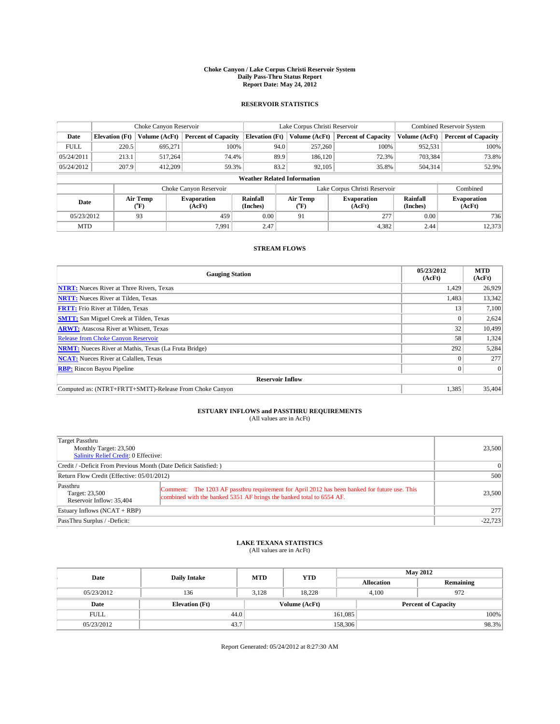#### **Choke Canyon / Lake Corpus Christi Reservoir System Daily Pass-Thru Status Report Report Date: May 24, 2012**

### **RESERVOIR STATISTICS**

|             |                                    | Choke Canyon Reservoir |                              | Lake Corpus Christi Reservoir |                  |                              |                               | <b>Combined Reservoir System</b> |                              |  |
|-------------|------------------------------------|------------------------|------------------------------|-------------------------------|------------------|------------------------------|-------------------------------|----------------------------------|------------------------------|--|
| Date        | <b>Elevation</b> (Ft)              | Volume (AcFt)          | <b>Percent of Capacity</b>   | <b>Elevation (Ft)</b>         | Volume (AcFt)    |                              | <b>Percent of Capacity</b>    | Volume (AcFt)                    | <b>Percent of Capacity</b>   |  |
| <b>FULL</b> | 220.5                              | 695,271                | 100%                         |                               | 94.0<br>257,260  |                              | 100%                          | 952,531                          | 100%                         |  |
| 05/24/2011  | 213.1                              | 517,264                | 74.4%                        |                               | 89.9<br>186,120  |                              | 72.3%                         | 703,384                          | 73.8%                        |  |
| 05/24/2012  | 207.9                              | 412,209                | 59.3%                        |                               | 83.2<br>92,105   |                              | 35.8%                         | 504,314                          | 52.9%                        |  |
|             | <b>Weather Related Information</b> |                        |                              |                               |                  |                              |                               |                                  |                              |  |
|             |                                    |                        | Choke Canyon Reservoir       |                               |                  |                              | Lake Corpus Christi Reservoir |                                  | Combined                     |  |
| Date        |                                    | Air Temp<br>(°F)       | <b>Evaporation</b><br>(AcFt) | Rainfall<br>(Inches)          | Air Temp<br>(°F) | <b>Evaporation</b><br>(AcFt) |                               | Rainfall<br>(Inches)             | <b>Evaporation</b><br>(AcFt) |  |
| 05/23/2012  |                                    | 93                     | 459                          | 0.00                          | 91               |                              | 277                           | 0.00                             | 736                          |  |
| <b>MTD</b>  |                                    |                        | 7.991                        | 2.47                          |                  |                              | 4,382                         | 2.44                             | 12,373                       |  |

### **STREAM FLOWS**

| <b>Gauging Station</b>                                       | 05/23/2012<br>(AcFt) | <b>MTD</b><br>(AcFt) |  |  |  |  |
|--------------------------------------------------------------|----------------------|----------------------|--|--|--|--|
| <b>NTRT:</b> Nueces River at Three Rivers, Texas             | 1,429                | 26,929               |  |  |  |  |
| <b>NRTT:</b> Nueces River at Tilden, Texas                   | 1,483                | 13,342               |  |  |  |  |
| <b>FRTT:</b> Frio River at Tilden, Texas                     | 13                   | 7,100                |  |  |  |  |
| <b>SMTT:</b> San Miguel Creek at Tilden, Texas               |                      | 2,624                |  |  |  |  |
| <b>ARWT:</b> Atascosa River at Whitsett, Texas               | 32                   | 10,499               |  |  |  |  |
| <b>Release from Choke Canyon Reservoir</b>                   | 58                   | 1,324                |  |  |  |  |
| <b>NRMT:</b> Nueces River at Mathis, Texas (La Fruta Bridge) | 292                  | 5,284                |  |  |  |  |
| <b>NCAT:</b> Nueces River at Calallen, Texas                 |                      | 277                  |  |  |  |  |
| <b>RBP:</b> Rincon Bayou Pipeline                            | $\Omega$             | $\Omega$             |  |  |  |  |
| <b>Reservoir Inflow</b>                                      |                      |                      |  |  |  |  |
| Computed as: (NTRT+FRTT+SMTT)-Release From Choke Canyon      | 1,385                | 35,404               |  |  |  |  |

# **ESTUARY INFLOWS and PASSTHRU REQUIREMENTS**<br>(All values are in AcFt)

| Target Passthru<br>Monthly Target: 23,500<br>Salinity Relief Credit: 0 Effective: |                                                                                                                                                                       |        |  |  |
|-----------------------------------------------------------------------------------|-----------------------------------------------------------------------------------------------------------------------------------------------------------------------|--------|--|--|
| Credit / -Deficit From Previous Month (Date Deficit Satisfied: )                  | $\Omega$                                                                                                                                                              |        |  |  |
| Return Flow Credit (Effective: 05/01/2012)                                        | 500                                                                                                                                                                   |        |  |  |
| Passthru<br>Target: 23,500<br>Reservoir Inflow: 35,404                            | Comment: The 1203 AF passthru requirement for April 2012 has been banked for future use. This<br>combined with the banked 5351 AF brings the banked total to 6554 AF. | 23,500 |  |  |
| Estuary Inflows $(NCAT + RBP)$                                                    | 277                                                                                                                                                                   |        |  |  |
| PassThru Surplus / -Deficit:                                                      | $-22,723$                                                                                                                                                             |        |  |  |

# **LAKE TEXANA STATISTICS** (All values are in AcFt)

| Date        | <b>Daily Intake</b>   | <b>MTD</b> | <b>YTD</b>    | <b>May 2012</b>   |                            |           |  |
|-------------|-----------------------|------------|---------------|-------------------|----------------------------|-----------|--|
|             |                       |            |               | <b>Allocation</b> |                            | Remaining |  |
| 05/23/2012  | 136                   | 3.128      | 18.228        |                   | 972<br>4.100               |           |  |
| Date        | <b>Elevation</b> (Ft) |            | Volume (AcFt) |                   | <b>Percent of Capacity</b> |           |  |
| <b>FULL</b> | 44.0                  |            |               | 161,085           |                            | 100%      |  |
| 05/23/2012  | 43.7                  |            |               | 158,306           |                            | 98.3%     |  |

Report Generated: 05/24/2012 at 8:27:30 AM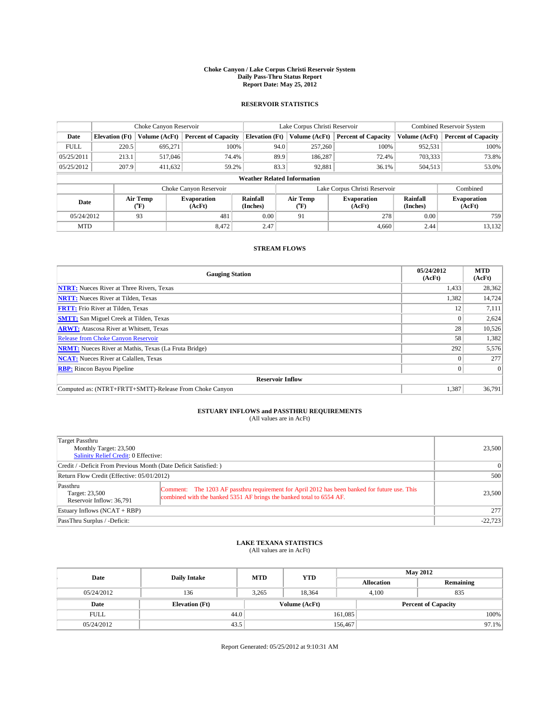#### **Choke Canyon / Lake Corpus Christi Reservoir System Daily Pass-Thru Status Report Report Date: May 25, 2012**

### **RESERVOIR STATISTICS**

|             |                                    | Choke Canyon Reservoir |                              |                                        | Lake Corpus Christi Reservoir | <b>Combined Reservoir System</b> |                      |                              |  |
|-------------|------------------------------------|------------------------|------------------------------|----------------------------------------|-------------------------------|----------------------------------|----------------------|------------------------------|--|
| Date        | <b>Elevation</b> (Ft)              | Volume (AcFt)          | <b>Percent of Capacity</b>   | <b>Elevation (Ft)</b><br>Volume (AcFt) |                               | <b>Percent of Capacity</b>       | Volume (AcFt)        | <b>Percent of Capacity</b>   |  |
| <b>FULL</b> | 220.5                              | 695,271                | 100%                         | 94.0                                   | 257,260                       | 100%                             | 952,531              | 100%                         |  |
| 05/25/2011  | 213.1                              | 517,046                | 74.4%                        | 89.9                                   | 186,287                       | 72.4%                            | 703,333              | 73.8%                        |  |
| 05/25/2012  | 207.9                              | 411.632                | 59.2%                        | 83.3                                   | 92,881                        | 36.1%                            | 504,513              | 53.0%                        |  |
|             | <b>Weather Related Information</b> |                        |                              |                                        |                               |                                  |                      |                              |  |
|             |                                    |                        | Choke Canyon Reservoir       |                                        |                               | Lake Corpus Christi Reservoir    |                      | Combined                     |  |
| Date        |                                    | Air Temp<br>(°F)       | <b>Evaporation</b><br>(AcFt) | Rainfall<br>(Inches)                   | Air Temp<br>(°F)              | <b>Evaporation</b><br>(AcFt)     | Rainfall<br>(Inches) | <b>Evaporation</b><br>(AcFt) |  |
| 05/24/2012  |                                    | 93                     | 481                          | 0.00                                   | 91                            | 278                              | 0.00                 | 759                          |  |
| <b>MTD</b>  |                                    |                        | 8.472                        | 2.47                                   |                               | 4.660                            | 2.44                 | 13,132                       |  |

### **STREAM FLOWS**

| <b>Gauging Station</b>                                       | 05/24/2012<br>(AcFt) | <b>MTD</b><br>(AcFt) |  |  |  |
|--------------------------------------------------------------|----------------------|----------------------|--|--|--|
| <b>NTRT:</b> Nueces River at Three Rivers, Texas             | 1,433                | 28,362               |  |  |  |
| <b>NRTT:</b> Nueces River at Tilden, Texas                   | 1,382                | 14,724               |  |  |  |
| <b>FRTT:</b> Frio River at Tilden, Texas                     | 12                   | 7,111                |  |  |  |
| <b>SMTT:</b> San Miguel Creek at Tilden, Texas               |                      | 2,624                |  |  |  |
| <b>ARWT:</b> Atascosa River at Whitsett, Texas               | 28                   | 10,526               |  |  |  |
| <b>Release from Choke Canyon Reservoir</b>                   | 58                   | 1,382                |  |  |  |
| <b>NRMT:</b> Nueces River at Mathis, Texas (La Fruta Bridge) | 292                  | 5,576                |  |  |  |
| <b>NCAT:</b> Nueces River at Calallen, Texas                 |                      | 277                  |  |  |  |
| <b>RBP:</b> Rincon Bayou Pipeline                            | $\Omega$             | $\Omega$             |  |  |  |
| <b>Reservoir Inflow</b>                                      |                      |                      |  |  |  |
| Computed as: (NTRT+FRTT+SMTT)-Release From Choke Canyon      | 1,387                | 36,791               |  |  |  |

# **ESTUARY INFLOWS and PASSTHRU REQUIREMENTS**<br>(All values are in AcFt)

| Target Passthru<br>Monthly Target: 23,500<br>Salinity Relief Credit: 0 Effective: | 23,500                                                                                                                                                                |        |
|-----------------------------------------------------------------------------------|-----------------------------------------------------------------------------------------------------------------------------------------------------------------------|--------|
| Credit / -Deficit From Previous Month (Date Deficit Satisfied: )                  | $\Omega$                                                                                                                                                              |        |
| Return Flow Credit (Effective: 05/01/2012)                                        | 500                                                                                                                                                                   |        |
| Passthru<br>Target: 23,500<br>Reservoir Inflow: 36,791                            | Comment: The 1203 AF passthru requirement for April 2012 has been banked for future use. This<br>combined with the banked 5351 AF brings the banked total to 6554 AF. | 23,500 |
| Estuary Inflows $(NCAT + RBP)$                                                    | 277                                                                                                                                                                   |        |
| PassThru Surplus / -Deficit:                                                      | $-22,723$                                                                                                                                                             |        |

# **LAKE TEXANA STATISTICS** (All values are in AcFt)

| Date        | <b>Daily Intake</b>   | <b>MTD</b> | <b>YTD</b>    | <b>May 2012</b>   |                            |           |  |
|-------------|-----------------------|------------|---------------|-------------------|----------------------------|-----------|--|
|             |                       |            |               | <b>Allocation</b> |                            | Remaining |  |
| 05/24/2012  | 136                   | 3.265      | 18.364        |                   | 835<br>4.100               |           |  |
| Date        | <b>Elevation</b> (Ft) |            | Volume (AcFt) |                   | <b>Percent of Capacity</b> |           |  |
| <b>FULL</b> | 44.0                  |            |               | 161,085           |                            | 100%      |  |
| 05/24/2012  | 43.5                  |            |               | 156,467           |                            | $97.1\%$  |  |

Report Generated: 05/25/2012 at 9:10:31 AM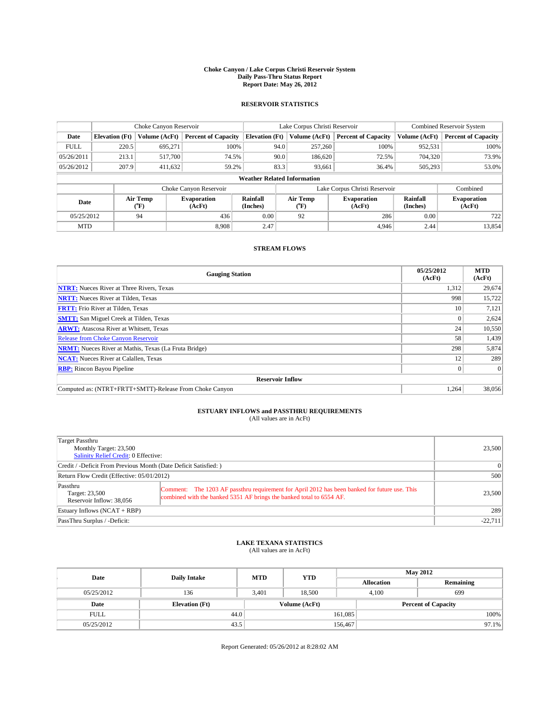#### **Choke Canyon / Lake Corpus Christi Reservoir System Daily Pass-Thru Status Report Report Date: May 26, 2012**

### **RESERVOIR STATISTICS**

|             |                                    | Choke Canyon Reservoir |                              |                       | Lake Corpus Christi Reservoir | <b>Combined Reservoir System</b> |                      |                              |  |
|-------------|------------------------------------|------------------------|------------------------------|-----------------------|-------------------------------|----------------------------------|----------------------|------------------------------|--|
| Date        | <b>Elevation</b> (Ft)              | Volume (AcFt)          | <b>Percent of Capacity</b>   | <b>Elevation (Ft)</b> | Volume (AcFt)                 | <b>Percent of Capacity</b>       | Volume (AcFt)        | <b>Percent of Capacity</b>   |  |
| <b>FULL</b> | 220.5                              | 695,271                | 100%                         | 94.0                  | 257,260                       | 100%                             | 952,531              | 100%                         |  |
| 05/26/2011  | 213.1                              | 517,700                | 74.5%                        | 90.0                  | 186,620                       | 72.5%                            | 704,320              | 73.9%                        |  |
| 05/26/2012  | 207.9                              | 411.632                | 59.2%                        | 83.3                  | 93,661                        | 36.4%                            | 505,293              | 53.0%                        |  |
|             | <b>Weather Related Information</b> |                        |                              |                       |                               |                                  |                      |                              |  |
|             |                                    |                        | Choke Canyon Reservoir       |                       |                               | Lake Corpus Christi Reservoir    |                      | Combined                     |  |
| Date        |                                    | Air Temp<br>(°F)       | <b>Evaporation</b><br>(AcFt) | Rainfall<br>(Inches)  | Air Temp<br>(°F)              | <b>Evaporation</b><br>(AcFt)     | Rainfall<br>(Inches) | <b>Evaporation</b><br>(AcFt) |  |
| 05/25/2012  |                                    | 94                     | 436                          | 0.00                  | 92                            | 286                              | 0.00                 | 722                          |  |
| <b>MTD</b>  |                                    |                        | 8.908                        | 2.47                  |                               | 4.946                            | 2.44                 | 13,854                       |  |

### **STREAM FLOWS**

| <b>Gauging Station</b>                                       | 05/25/2012<br>(AcFt) | <b>MTD</b><br>(AcFt) |  |  |  |  |
|--------------------------------------------------------------|----------------------|----------------------|--|--|--|--|
| <b>NTRT:</b> Nueces River at Three Rivers, Texas             | 1,312                | 29,674               |  |  |  |  |
| <b>NRTT:</b> Nueces River at Tilden, Texas                   | 998                  | 15,722               |  |  |  |  |
| <b>FRTT:</b> Frio River at Tilden, Texas                     | 10                   | 7,121                |  |  |  |  |
| <b>SMTT:</b> San Miguel Creek at Tilden, Texas               |                      | 2,624                |  |  |  |  |
| <b>ARWT:</b> Atascosa River at Whitsett, Texas               | 24                   | 10,550               |  |  |  |  |
| Release from Choke Canyon Reservoir                          | 58                   | 1,439                |  |  |  |  |
| <b>NRMT:</b> Nueces River at Mathis, Texas (La Fruta Bridge) | 298                  | 5,874                |  |  |  |  |
| <b>NCAT:</b> Nueces River at Calallen, Texas                 | 12                   | 289                  |  |  |  |  |
| <b>RBP:</b> Rincon Bayou Pipeline                            | $\Omega$             | $\overline{0}$       |  |  |  |  |
| <b>Reservoir Inflow</b>                                      |                      |                      |  |  |  |  |
| Computed as: (NTRT+FRTT+SMTT)-Release From Choke Canyon      | 1,264                | 38,056               |  |  |  |  |

# **ESTUARY INFLOWS and PASSTHRU REQUIREMENTS**<br>(All values are in AcFt)

| Target Passthru<br>Monthly Target: 23,500<br>Salinity Relief Credit: 0 Effective: | 23,500                                                                                                                                                                |        |
|-----------------------------------------------------------------------------------|-----------------------------------------------------------------------------------------------------------------------------------------------------------------------|--------|
| Credit / -Deficit From Previous Month (Date Deficit Satisfied: )                  | 0                                                                                                                                                                     |        |
| Return Flow Credit (Effective: 05/01/2012)                                        | 500                                                                                                                                                                   |        |
| Passthru<br>Target: 23,500<br>Reservoir Inflow: 38,056                            | Comment: The 1203 AF passthru requirement for April 2012 has been banked for future use. This<br>combined with the banked 5351 AF brings the banked total to 6554 AF. | 23,500 |
| Estuary Inflows $(NCAT + RBP)$                                                    | 289                                                                                                                                                                   |        |
| PassThru Surplus / -Deficit:                                                      | $-22,711$                                                                                                                                                             |        |

# **LAKE TEXANA STATISTICS** (All values are in AcFt)

| Date        | <b>Daily Intake</b>   | <b>MTD</b> | <b>YTD</b>    | <b>May 2012</b>   |                            |           |  |
|-------------|-----------------------|------------|---------------|-------------------|----------------------------|-----------|--|
|             |                       |            |               | <b>Allocation</b> |                            | Remaining |  |
| 05/25/2012  | 136                   | 3.401      | 18.500        | 4.100             |                            | 699       |  |
| Date        | <b>Elevation</b> (Ft) |            | Volume (AcFt) |                   | <b>Percent of Capacity</b> |           |  |
| <b>FULL</b> | 44.0                  |            |               | 161,085           |                            | 100%      |  |
| 05/25/2012  | 43.5                  |            |               | 156,467           |                            | $97.1\%$  |  |

Report Generated: 05/26/2012 at 8:28:02 AM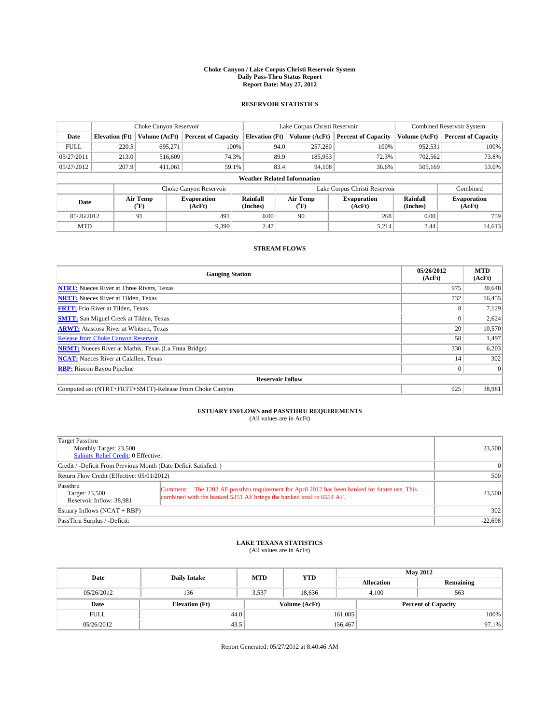#### **Choke Canyon / Lake Corpus Christi Reservoir System Daily Pass-Thru Status Report Report Date: May 27, 2012**

### **RESERVOIR STATISTICS**

|             |                                    | Choke Canyon Reservoir |                              |                       | Lake Corpus Christi Reservoir | <b>Combined Reservoir System</b> |                      |                              |  |
|-------------|------------------------------------|------------------------|------------------------------|-----------------------|-------------------------------|----------------------------------|----------------------|------------------------------|--|
| Date        | <b>Elevation</b> (Ft)              | Volume (AcFt)          | <b>Percent of Capacity</b>   | <b>Elevation (Ft)</b> | Volume (AcFt)                 | <b>Percent of Capacity</b>       | Volume (AcFt)        | <b>Percent of Capacity</b>   |  |
| <b>FULL</b> | 220.5                              | 695,271                | 100%                         | 94.0                  | 257,260                       | 100%                             | 952,531              | 100%                         |  |
| 05/27/2011  | 213.0                              | 516,609                | 74.3%                        | 89.9                  | 185,953                       | 72.3%                            | 702,562              | 73.8%                        |  |
| 05/27/2012  | 207.9                              | 411.061                | 59.1%                        | 83.4                  | 94,108                        | 36.6%                            | 505,169              | 53.0%                        |  |
|             | <b>Weather Related Information</b> |                        |                              |                       |                               |                                  |                      |                              |  |
|             |                                    |                        | Choke Canyon Reservoir       |                       |                               | Lake Corpus Christi Reservoir    |                      | Combined                     |  |
| Date        |                                    | Air Temp<br>(°F)       | <b>Evaporation</b><br>(AcFt) | Rainfall<br>(Inches)  | Air Temp<br>(°F)              | <b>Evaporation</b><br>(AcFt)     | Rainfall<br>(Inches) | <b>Evaporation</b><br>(AcFt) |  |
| 05/26/2012  |                                    | 91                     | 491                          | 0.00                  | 90                            | 268                              | 0.00                 | 759                          |  |
| <b>MTD</b>  |                                    |                        | 9.399                        | 2.47                  |                               | 5,214                            | 2.44                 | 14,613                       |  |

### **STREAM FLOWS**

| <b>Gauging Station</b>                                       | 05/26/2012<br>(AcFt) | <b>MTD</b><br>(AcFt) |  |  |  |
|--------------------------------------------------------------|----------------------|----------------------|--|--|--|
| <b>NTRT:</b> Nueces River at Three Rivers, Texas             | 975                  | 30,648               |  |  |  |
| <b>NRTT:</b> Nueces River at Tilden, Texas                   | 732                  | 16,455               |  |  |  |
| <b>FRTT:</b> Frio River at Tilden, Texas                     | 8                    | 7,129                |  |  |  |
| <b>SMTT:</b> San Miguel Creek at Tilden, Texas               |                      | 2,624                |  |  |  |
| <b>ARWT:</b> Atascosa River at Whitsett, Texas               | 20                   | 10,570               |  |  |  |
| <b>Release from Choke Canyon Reservoir</b>                   | 58                   | 1,497                |  |  |  |
| <b>NRMT:</b> Nueces River at Mathis, Texas (La Fruta Bridge) | 330                  | 6,203                |  |  |  |
| <b>NCAT:</b> Nueces River at Calallen, Texas                 | 14                   | 302                  |  |  |  |
| <b>RBP:</b> Rincon Bayou Pipeline                            | $\Omega$             | $\Omega$             |  |  |  |
| <b>Reservoir Inflow</b>                                      |                      |                      |  |  |  |
| Computed as: (NTRT+FRTT+SMTT)-Release From Choke Canyon      | 925                  | 38,981               |  |  |  |

# **ESTUARY INFLOWS and PASSTHRU REQUIREMENTS**<br>(All values are in AcFt)

| Target Passthru<br>Monthly Target: 23,500<br>Salinity Relief Credit: 0 Effective: |                                                                                                                                                                       |        |  |  |
|-----------------------------------------------------------------------------------|-----------------------------------------------------------------------------------------------------------------------------------------------------------------------|--------|--|--|
| Credit / -Deficit From Previous Month (Date Deficit Satisfied: )                  | $\Omega$                                                                                                                                                              |        |  |  |
| Return Flow Credit (Effective: 05/01/2012)                                        | 500                                                                                                                                                                   |        |  |  |
| Passthru<br>Target: 23,500<br>Reservoir Inflow: 38.981                            | Comment: The 1203 AF passthru requirement for April 2012 has been banked for future use. This<br>combined with the banked 5351 AF brings the banked total to 6554 AF. | 23,500 |  |  |
| Estuary Inflows $(NCAT + RBP)$                                                    | 302                                                                                                                                                                   |        |  |  |
| PassThru Surplus / -Deficit:                                                      | $-22,698$                                                                                                                                                             |        |  |  |

# **LAKE TEXANA STATISTICS** (All values are in AcFt)

| Date        | <b>Daily Intake</b>   | <b>MTD</b> | <b>YTD</b>    | <b>May 2012</b>   |                            |           |  |
|-------------|-----------------------|------------|---------------|-------------------|----------------------------|-----------|--|
|             |                       |            |               | <b>Allocation</b> |                            | Remaining |  |
| 05/26/2012  | 136                   | 3.537      | 18.636        |                   | 4.100                      | 563       |  |
| Date        | <b>Elevation</b> (Ft) |            | Volume (AcFt) |                   | <b>Percent of Capacity</b> |           |  |
| <b>FULL</b> | 44.0                  |            |               | 161,085           |                            | 100%      |  |
| 05/26/2012  | 43.5                  |            |               | 156,467           |                            | $97.1\%$  |  |

Report Generated: 05/27/2012 at 8:40:46 AM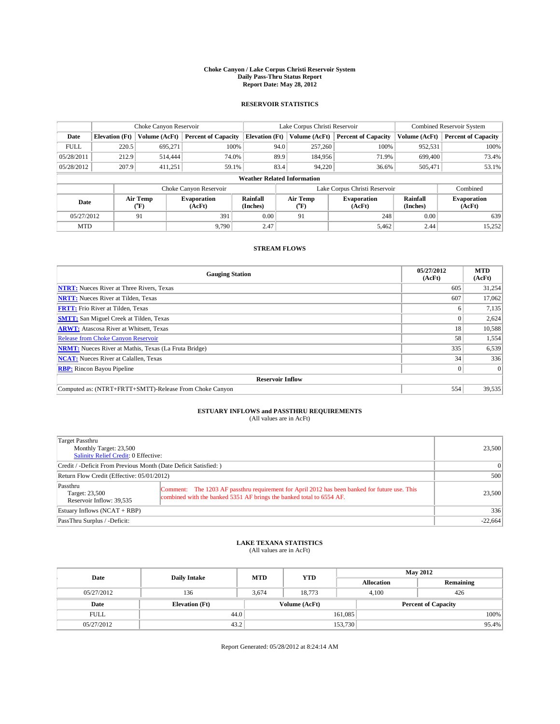#### **Choke Canyon / Lake Corpus Christi Reservoir System Daily Pass-Thru Status Report Report Date: May 28, 2012**

### **RESERVOIR STATISTICS**

|             |                                    | Choke Canyon Reservoir |                              |                       | Lake Corpus Christi Reservoir | <b>Combined Reservoir System</b> |                      |                              |  |  |
|-------------|------------------------------------|------------------------|------------------------------|-----------------------|-------------------------------|----------------------------------|----------------------|------------------------------|--|--|
| Date        | <b>Elevation</b> (Ft)              | Volume (AcFt)          | <b>Percent of Capacity</b>   | <b>Elevation (Ft)</b> | Volume (AcFt)                 | <b>Percent of Capacity</b>       | Volume (AcFt)        | <b>Percent of Capacity</b>   |  |  |
| <b>FULL</b> | 220.5                              | 695,271                | 100%                         | 94.0                  | 257,260                       | 100%                             | 952,531              | 100%                         |  |  |
| 05/28/2011  | 212.9                              | 514,444                | 74.0%                        | 89.9                  | 184,956                       | 71.9%                            | 699,400              | 73.4%                        |  |  |
| 05/28/2012  | 207.9                              | 411,251                | 59.1%                        | 83.4                  | 94,220                        | 36.6%                            | 505,471              | 53.1%                        |  |  |
|             | <b>Weather Related Information</b> |                        |                              |                       |                               |                                  |                      |                              |  |  |
|             |                                    |                        | Choke Canyon Reservoir       |                       |                               | Lake Corpus Christi Reservoir    |                      | Combined                     |  |  |
| Date        |                                    | Air Temp<br>(°F)       | <b>Evaporation</b><br>(AcFt) | Rainfall<br>(Inches)  | Air Temp<br>(°F)              | <b>Evaporation</b><br>(AcFt)     | Rainfall<br>(Inches) | <b>Evaporation</b><br>(AcFt) |  |  |
| 05/27/2012  |                                    | 91                     | 391                          | 0.00                  | 91                            | 248                              | 0.00                 | 639                          |  |  |
| <b>MTD</b>  |                                    |                        | 9.790                        | 2.47                  |                               | 5,462                            | 2.44                 | 15,252                       |  |  |

### **STREAM FLOWS**

| <b>Gauging Station</b>                                       | 05/27/2012<br>(AcFt) | <b>MTD</b><br>(AcFt) |  |  |  |  |
|--------------------------------------------------------------|----------------------|----------------------|--|--|--|--|
| <b>NTRT:</b> Nueces River at Three Rivers, Texas             | 605                  | 31,254               |  |  |  |  |
| <b>NRTT:</b> Nueces River at Tilden, Texas                   | 607                  | 17,062               |  |  |  |  |
| <b>FRTT:</b> Frio River at Tilden, Texas                     | <sub>0</sub>         | 7,135                |  |  |  |  |
| <b>SMTT:</b> San Miguel Creek at Tilden, Texas               |                      | 2,624                |  |  |  |  |
| <b>ARWT:</b> Atascosa River at Whitsett, Texas               | 18                   | 10,588               |  |  |  |  |
| <b>Release from Choke Canyon Reservoir</b>                   | 58                   | 1,554                |  |  |  |  |
| <b>NRMT:</b> Nueces River at Mathis, Texas (La Fruta Bridge) | 335                  | 6,539                |  |  |  |  |
| <b>NCAT:</b> Nueces River at Calallen, Texas                 | 34                   | 336                  |  |  |  |  |
| <b>RBP:</b> Rincon Bayou Pipeline                            | $\Omega$             | $\Omega$             |  |  |  |  |
| <b>Reservoir Inflow</b>                                      |                      |                      |  |  |  |  |
| Computed as: (NTRT+FRTT+SMTT)-Release From Choke Canyon      | 554                  | 39,535               |  |  |  |  |

# **ESTUARY INFLOWS and PASSTHRU REQUIREMENTS**<br>(All values are in AcFt)

| Target Passthru<br>Monthly Target: 23,500<br>Salinity Relief Credit: 0 Effective: |                                                                                                                                                                       |        |  |  |
|-----------------------------------------------------------------------------------|-----------------------------------------------------------------------------------------------------------------------------------------------------------------------|--------|--|--|
| Credit / -Deficit From Previous Month (Date Deficit Satisfied: )                  | $\Omega$                                                                                                                                                              |        |  |  |
| Return Flow Credit (Effective: 05/01/2012)                                        | 500                                                                                                                                                                   |        |  |  |
| Passthru<br>Target: 23,500<br>Reservoir Inflow: 39,535                            | Comment: The 1203 AF passthru requirement for April 2012 has been banked for future use. This<br>combined with the banked 5351 AF brings the banked total to 6554 AF. | 23,500 |  |  |
| Estuary Inflows $(NCAT + RBP)$                                                    | 336                                                                                                                                                                   |        |  |  |
| PassThru Surplus / -Deficit:                                                      | $-22,664$                                                                                                                                                             |        |  |  |

## **LAKE TEXANA STATISTICS** (All values are in AcFt)

| Date        | <b>Daily Intake</b>   | <b>MTD</b> | <b>YTD</b>    | <b>May 2012</b>   |                            |           |  |
|-------------|-----------------------|------------|---------------|-------------------|----------------------------|-----------|--|
|             |                       |            |               | <b>Allocation</b> |                            | Remaining |  |
| 05/27/2012  | 136                   | 3.674      | 18.773        |                   | 426<br>4.100               |           |  |
| Date        | <b>Elevation</b> (Ft) |            | Volume (AcFt) |                   | <b>Percent of Capacity</b> |           |  |
| <b>FULL</b> | 44.0                  |            |               | 161,085           |                            | 100%      |  |
| 05/27/2012  | 43.2                  |            |               | 153,730           |                            | 95.4%     |  |

Report Generated: 05/28/2012 at 8:24:14 AM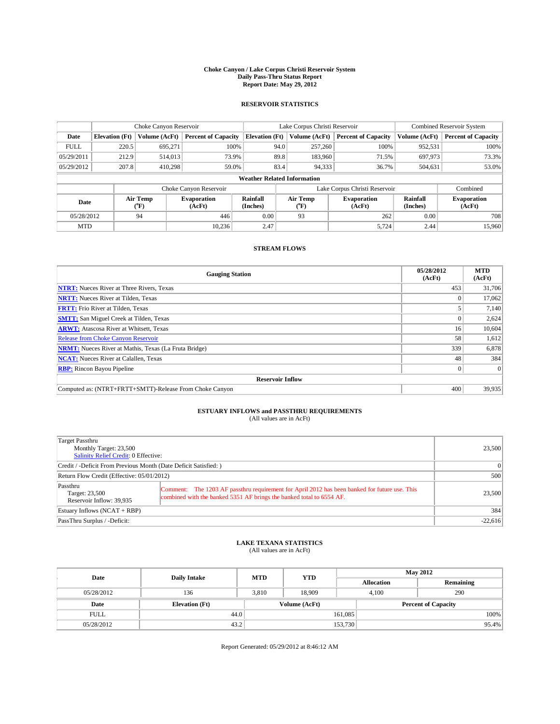#### **Choke Canyon / Lake Corpus Christi Reservoir System Daily Pass-Thru Status Report Report Date: May 29, 2012**

### **RESERVOIR STATISTICS**

|             |                                    | Choke Canyon Reservoir |                              |                       | Lake Corpus Christi Reservoir | Combined Reservoir System     |                      |                              |  |  |
|-------------|------------------------------------|------------------------|------------------------------|-----------------------|-------------------------------|-------------------------------|----------------------|------------------------------|--|--|
| Date        | <b>Elevation</b> (Ft)              | Volume (AcFt)          | <b>Percent of Capacity</b>   | <b>Elevation (Ft)</b> | Volume (AcFt)                 | <b>Percent of Capacity</b>    | Volume (AcFt)        | <b>Percent of Capacity</b>   |  |  |
| <b>FULL</b> | 220.5                              | 695.271                | 100%                         | 94.0                  | 257,260                       | 100%                          | 952,531              | 100%                         |  |  |
| 05/29/2011  | 212.9                              | 514,013                | 73.9%                        | 89.8                  | 183,960                       | 71.5%                         | 697,973              | 73.3%                        |  |  |
| 05/29/2012  | 207.8                              | 410.298                | 59.0%                        | 83.4                  | 94,333                        | 36.7%                         | 504,631              | 53.0%                        |  |  |
|             | <b>Weather Related Information</b> |                        |                              |                       |                               |                               |                      |                              |  |  |
|             |                                    |                        | Choke Canyon Reservoir       |                       |                               | Lake Corpus Christi Reservoir |                      | Combined                     |  |  |
| Date        |                                    | Air Temp<br>(°F)       | <b>Evaporation</b><br>(AcFt) | Rainfall<br>(Inches)  | Air Temp<br>(°F)              | <b>Evaporation</b><br>(AcFt)  | Rainfall<br>(Inches) | <b>Evaporation</b><br>(AcFt) |  |  |
| 05/28/2012  |                                    | 94                     | 446                          | 0.00                  | 93                            | 262                           | 0.00                 | 708                          |  |  |
| <b>MTD</b>  |                                    |                        | 10.236                       | 2.47                  |                               | 5,724                         | 2.44                 | 15,960                       |  |  |

### **STREAM FLOWS**

| <b>Gauging Station</b>                                       | 05/28/2012<br>(AcFt) | <b>MTD</b><br>(AcFt) |  |  |  |  |
|--------------------------------------------------------------|----------------------|----------------------|--|--|--|--|
| <b>NTRT:</b> Nueces River at Three Rivers, Texas             | 453                  | 31,706               |  |  |  |  |
| <b>NRTT:</b> Nueces River at Tilden, Texas                   |                      | 17,062               |  |  |  |  |
| <b>FRTT:</b> Frio River at Tilden, Texas                     |                      | 7,140                |  |  |  |  |
| <b>SMTT:</b> San Miguel Creek at Tilden, Texas               |                      | 2,624                |  |  |  |  |
| <b>ARWT:</b> Atascosa River at Whitsett, Texas               | 16                   | 10,604               |  |  |  |  |
| <b>Release from Choke Canyon Reservoir</b>                   | 58                   | 1,612                |  |  |  |  |
| <b>NRMT:</b> Nueces River at Mathis, Texas (La Fruta Bridge) | 339                  | 6,878                |  |  |  |  |
| <b>NCAT:</b> Nueces River at Calallen, Texas                 |                      |                      |  |  |  |  |
| <b>RBP:</b> Rincon Bayou Pipeline                            | $\Omega$             | $\Omega$             |  |  |  |  |
| <b>Reservoir Inflow</b>                                      |                      |                      |  |  |  |  |
| Computed as: (NTRT+FRTT+SMTT)-Release From Choke Canyon      | 400                  | 39,935               |  |  |  |  |

# **ESTUARY INFLOWS and PASSTHRU REQUIREMENTS**<br>(All values are in AcFt)

| Target Passthru<br>Monthly Target: 23,500<br>Salinity Relief Credit: 0 Effective: |                                                                                                                                                                       |        |  |  |
|-----------------------------------------------------------------------------------|-----------------------------------------------------------------------------------------------------------------------------------------------------------------------|--------|--|--|
| Credit / -Deficit From Previous Month (Date Deficit Satisfied: )                  | 0                                                                                                                                                                     |        |  |  |
| Return Flow Credit (Effective: 05/01/2012)                                        | 500                                                                                                                                                                   |        |  |  |
| Passthru<br>Target: 23,500<br>Reservoir Inflow: 39,935                            | Comment: The 1203 AF passthru requirement for April 2012 has been banked for future use. This<br>combined with the banked 5351 AF brings the banked total to 6554 AF. | 23,500 |  |  |
| Estuary Inflows $(NCAT + RBP)$                                                    | 384                                                                                                                                                                   |        |  |  |
| PassThru Surplus / -Deficit:                                                      | $-22,616$                                                                                                                                                             |        |  |  |

# **LAKE TEXANA STATISTICS** (All values are in AcFt)

| Date        | <b>Daily Intake</b>   | <b>MTD</b> | <b>YTD</b>    | <b>May 2012</b>   |                            |           |  |
|-------------|-----------------------|------------|---------------|-------------------|----------------------------|-----------|--|
|             |                       |            |               | <b>Allocation</b> |                            | Remaining |  |
| 05/28/2012  | 136                   | 3.810      | 18.909        |                   | 290<br>4.100               |           |  |
| Date        | <b>Elevation</b> (Ft) |            | Volume (AcFt) |                   | <b>Percent of Capacity</b> |           |  |
| <b>FULL</b> | 44.0                  |            |               | 161,085           |                            | 100%      |  |
| 05/28/2012  | 43.2                  |            |               | 153,730           |                            | 95.4%     |  |

Report Generated: 05/29/2012 at 8:46:12 AM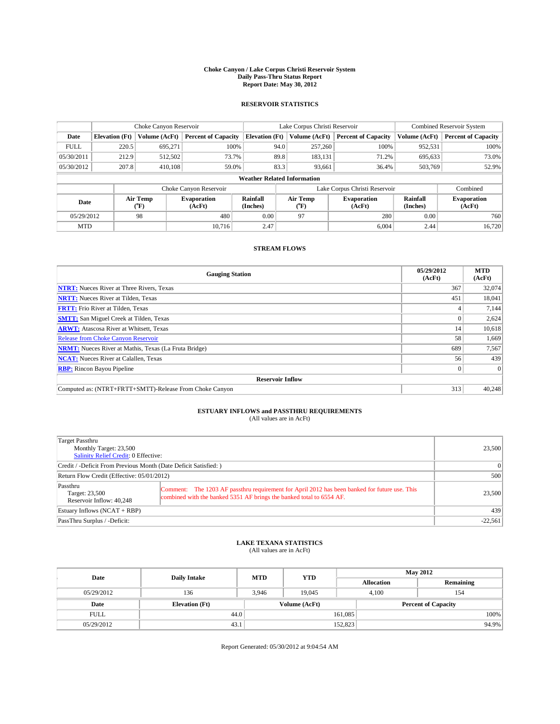#### **Choke Canyon / Lake Corpus Christi Reservoir System Daily Pass-Thru Status Report Report Date: May 30, 2012**

### **RESERVOIR STATISTICS**

|             |                                    | Choke Canyon Reservoir |                              |                       | Lake Corpus Christi Reservoir | <b>Combined Reservoir System</b> |                      |                              |  |
|-------------|------------------------------------|------------------------|------------------------------|-----------------------|-------------------------------|----------------------------------|----------------------|------------------------------|--|
| Date        | <b>Elevation</b> (Ft)              | Volume (AcFt)          | <b>Percent of Capacity</b>   | <b>Elevation (Ft)</b> | Volume (AcFt)                 | <b>Percent of Capacity</b>       | Volume (AcFt)        | <b>Percent of Capacity</b>   |  |
| <b>FULL</b> | 220.5                              | 695,271                | 100%                         | 94.0                  | 257,260                       | 100%                             | 952,531              | 100%                         |  |
| 05/30/2011  | 212.9                              | 512,502                | 73.7%                        | 89.8                  | 183,131                       | 71.2%                            | 695,633              | 73.0%                        |  |
| 05/30/2012  | 207.8                              | 410.108                | 59.0%                        | 83.3                  | 93,661                        | 36.4%                            | 503,769              | 52.9%                        |  |
|             | <b>Weather Related Information</b> |                        |                              |                       |                               |                                  |                      |                              |  |
|             |                                    |                        | Choke Canyon Reservoir       |                       |                               | Lake Corpus Christi Reservoir    |                      | Combined                     |  |
| Date        |                                    | Air Temp<br>(°F)       | <b>Evaporation</b><br>(AcFt) | Rainfall<br>(Inches)  | Air Temp<br>(°F)              | <b>Evaporation</b><br>(AcFt)     | Rainfall<br>(Inches) | <b>Evaporation</b><br>(AcFt) |  |
| 05/29/2012  |                                    | 98                     | 480                          | 0.00                  | 97                            | 280                              | 0.00                 | 760                          |  |
| <b>MTD</b>  |                                    |                        | 10.716                       | 2.47                  |                               | 6.004                            | 2.44                 | 16,720                       |  |

### **STREAM FLOWS**

| <b>Gauging Station</b>                                       | 05/29/2012<br>(AcFt) | <b>MTD</b><br>(AcFt) |  |  |  |  |
|--------------------------------------------------------------|----------------------|----------------------|--|--|--|--|
| <b>NTRT:</b> Nueces River at Three Rivers, Texas             | 367                  | 32,074               |  |  |  |  |
| <b>NRTT:</b> Nueces River at Tilden, Texas                   | 451                  | 18,041               |  |  |  |  |
| <b>FRTT:</b> Frio River at Tilden, Texas                     |                      | 7,144                |  |  |  |  |
| <b>SMTT:</b> San Miguel Creek at Tilden, Texas               | 0                    | 2,624                |  |  |  |  |
| <b>ARWT:</b> Atascosa River at Whitsett, Texas               | 14                   | 10,618               |  |  |  |  |
| <b>Release from Choke Canyon Reservoir</b>                   | 58                   | 1,669                |  |  |  |  |
| <b>NRMT:</b> Nueces River at Mathis, Texas (La Fruta Bridge) | 689                  | 7,567                |  |  |  |  |
| <b>NCAT:</b> Nueces River at Calallen, Texas                 | 56                   | 439                  |  |  |  |  |
| <b>RBP:</b> Rincon Bayou Pipeline                            | $\Omega$             | $\Omega$             |  |  |  |  |
| <b>Reservoir Inflow</b>                                      |                      |                      |  |  |  |  |
| Computed as: (NTRT+FRTT+SMTT)-Release From Choke Canyon      | 313                  | 40.248               |  |  |  |  |

# **ESTUARY INFLOWS and PASSTHRU REQUIREMENTS**<br>(All values are in AcFt)

| Target Passthru<br>Monthly Target: 23,500<br>Salinity Relief Credit: 0 Effective: |                                                                                                                                                                       |        |  |  |
|-----------------------------------------------------------------------------------|-----------------------------------------------------------------------------------------------------------------------------------------------------------------------|--------|--|--|
| Credit / -Deficit From Previous Month (Date Deficit Satisfied: )                  | 0                                                                                                                                                                     |        |  |  |
| Return Flow Credit (Effective: 05/01/2012)                                        | 500                                                                                                                                                                   |        |  |  |
| Passthru<br>Target: 23,500<br>Reservoir Inflow: 40.248                            | Comment: The 1203 AF passthru requirement for April 2012 has been banked for future use. This<br>combined with the banked 5351 AF brings the banked total to 6554 AF. | 23,500 |  |  |
| Estuary Inflows $(NCAT + RBP)$                                                    | 439                                                                                                                                                                   |        |  |  |
| PassThru Surplus / -Deficit:                                                      | $-22,561$                                                                                                                                                             |        |  |  |

## **LAKE TEXANA STATISTICS** (All values are in AcFt)

| Date        | <b>Daily Intake</b>   | <b>MTD</b>    | <b>YTD</b> | <b>May 2012</b>   |              |                            |  |
|-------------|-----------------------|---------------|------------|-------------------|--------------|----------------------------|--|
|             |                       |               |            | <b>Allocation</b> |              | Remaining                  |  |
| 05/29/2012  | 136                   | 3.946         | 19.045     |                   | 4.100<br>154 |                            |  |
| Date        | <b>Elevation</b> (Ft) | Volume (AcFt) |            |                   |              | <b>Percent of Capacity</b> |  |
| <b>FULL</b> | 44.0                  |               |            | 161,085           |              | 100%                       |  |
| 05/29/2012  | 43.1                  |               |            | 152,823           |              | 94.9%                      |  |

Report Generated: 05/30/2012 at 9:04:54 AM